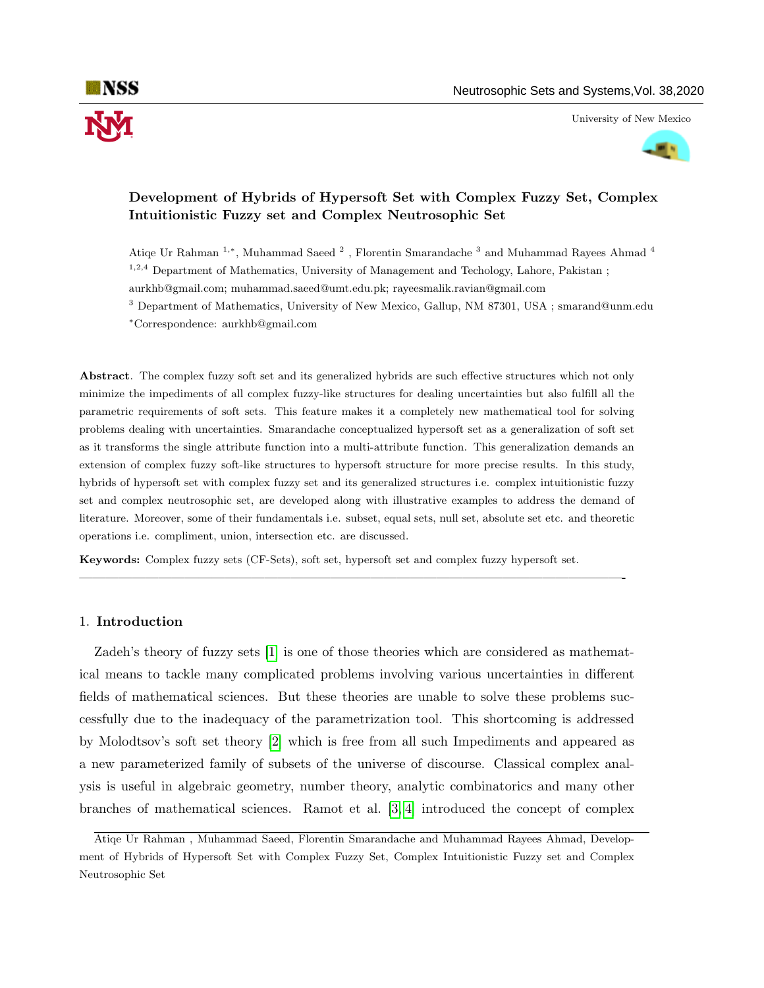University of New Mexico



# Development of Hybrids of Hypersoft Set with Complex Fuzzy Set, Complex Intuitionistic Fuzzy set and Complex Neutrosophic Set

Atiqe Ur Rahman <sup>1,∗</sup>, Muhammad Saeed<sup>2</sup>, Florentin Smarandache<sup>3</sup> and Muhammad Rayees Ahmad<sup>4</sup> <sup>1,2,4</sup> Department of Mathematics, University of Management and Techology, Lahore, Pakistan;

aurkhb@gmail.com; muhammad.saeed@umt.edu.pk; rayeesmalik.ravian@gmail.com

<sup>3</sup> Department of Mathematics, University of New Mexico, Gallup, NM 87301, USA; smarand@unm.edu <sup>∗</sup>Correspondence: aurkhb@gmail.com

Abstract. The complex fuzzy soft set and its generalized hybrids are such effective structures which not only minimize the impediments of all complex fuzzy-like structures for dealing uncertainties but also fulfill all the parametric requirements of soft sets. This feature makes it a completely new mathematical tool for solving problems dealing with uncertainties. Smarandache conceptualized hypersoft set as a generalization of soft set as it transforms the single attribute function into a multi-attribute function. This generalization demands an extension of complex fuzzy soft-like structures to hypersoft structure for more precise results. In this study, hybrids of hypersoft set with complex fuzzy set and its generalized structures i.e. complex intuitionistic fuzzy set and complex neutrosophic set, are developed along with illustrative examples to address the demand of literature. Moreover, some of their fundamentals i.e. subset, equal sets, null set, absolute set etc. and theoretic operations i.e. compliment, union, intersection etc. are discussed.

Keywords: Complex fuzzy sets (CF-Sets), soft set, hypersoft set and complex fuzzy hypersoft set.

—————————————————————————————————————————-

### 1. Introduction

Zadeh's theory of fuzzy sets [\[1\]](#page-18-0) is one of those theories which are considered as mathematical means to tackle many complicated problems involving various uncertainties in different fields of mathematical sciences. But these theories are unable to solve these problems successfully due to the inadequacy of the parametrization tool. This shortcoming is addressed by Molodtsov's soft set theory [\[2\]](#page-18-1) which is free from all such Impediments and appeared as a new parameterized family of subsets of the universe of discourse. Classical complex analysis is useful in algebraic geometry, number theory, analytic combinatorics and many other branches of mathematical sciences. Ramot et al. [\[3,](#page-18-2) [4\]](#page-18-3) introduced the concept of complex

Atiqe Ur Rahman , Muhammad Saeed, Florentin Smarandache and Muhammad Rayees Ahmad, Development of Hybrids of Hypersoft Set with Complex Fuzzy Set, Complex Intuitionistic Fuzzy set and Complex Neutrosophic Set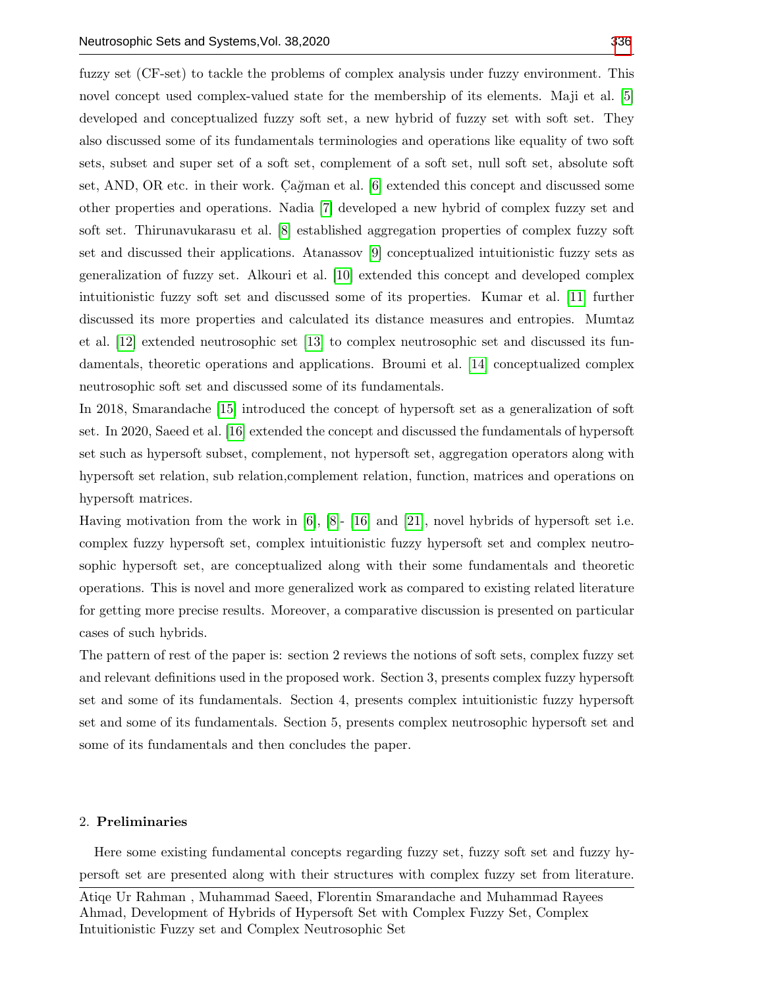fuzzy set (CF-set) to tackle the problems of complex analysis under fuzzy environment. This novel concept used complex-valued state for the membership of its elements. Maji et al. [\[5\]](#page-18-4) developed and conceptualized fuzzy soft set, a new hybrid of fuzzy set with soft set. They also discussed some of its fundamentals terminologies and operations like equality of two soft sets, subset and super set of a soft set, complement of a soft set, null soft set, absolute soft set, AND, OR etc. in their work. Cağman et al.  $[6]$  extended this concept and discussed some other properties and operations. Nadia [\[7\]](#page-18-6) developed a new hybrid of complex fuzzy set and soft set. Thirunavukarasu et al. [\[8\]](#page-18-7) established aggregation properties of complex fuzzy soft set and discussed their applications. Atanassov [\[9\]](#page-18-8) conceptualized intuitionistic fuzzy sets as generalization of fuzzy set. Alkouri et al. [\[10\]](#page-18-9) extended this concept and developed complex intuitionistic fuzzy soft set and discussed some of its properties. Kumar et al. [\[11\]](#page-18-10) further discussed its more properties and calculated its distance measures and entropies. Mumtaz et al. [\[12\]](#page-18-11) extended neutrosophic set [\[13\]](#page-18-12) to complex neutrosophic set and discussed its fundamentals, theoretic operations and applications. Broumi et al. [\[14\]](#page-18-13) conceptualized complex

neutrosophic soft set and discussed some of its fundamentals.

In 2018, Smarandache [\[15\]](#page-18-14) introduced the concept of hypersoft set as a generalization of soft set. In 2020, Saeed et al. [\[16\]](#page-18-15) extended the concept and discussed the fundamentals of hypersoft set such as hypersoft subset, complement, not hypersoft set, aggregation operators along with hypersoft set relation, sub relation,complement relation, function, matrices and operations on hypersoft matrices.

Having motivation from the work in [\[6\]](#page-18-5), [\[8\]](#page-18-7)- [\[16\]](#page-18-15) and [\[21\]](#page-18-16), novel hybrids of hypersoft set i.e. complex fuzzy hypersoft set, complex intuitionistic fuzzy hypersoft set and complex neutrosophic hypersoft set, are conceptualized along with their some fundamentals and theoretic operations. This is novel and more generalized work as compared to existing related literature for getting more precise results. Moreover, a comparative discussion is presented on particular cases of such hybrids.

The pattern of rest of the paper is: section 2 reviews the notions of soft sets, complex fuzzy set and relevant definitions used in the proposed work. Section 3, presents complex fuzzy hypersoft set and some of its fundamentals. Section 4, presents complex intuitionistic fuzzy hypersoft set and some of its fundamentals. Section 5, presents complex neutrosophic hypersoft set and some of its fundamentals and then concludes the paper.

# 2. Preliminaries

Here some existing fundamental concepts regarding fuzzy set, fuzzy soft set and fuzzy hypersoft set are presented along with their structures with complex fuzzy set from literature.

Atiqe Ur Rahman , Muhammad Saeed, Florentin Smarandache and Muhammad Rayees Ahmad, Development of Hybrids of Hypersoft Set with Complex Fuzzy Set, Complex Intuitionistic Fuzzy set and Complex Neutrosophic Set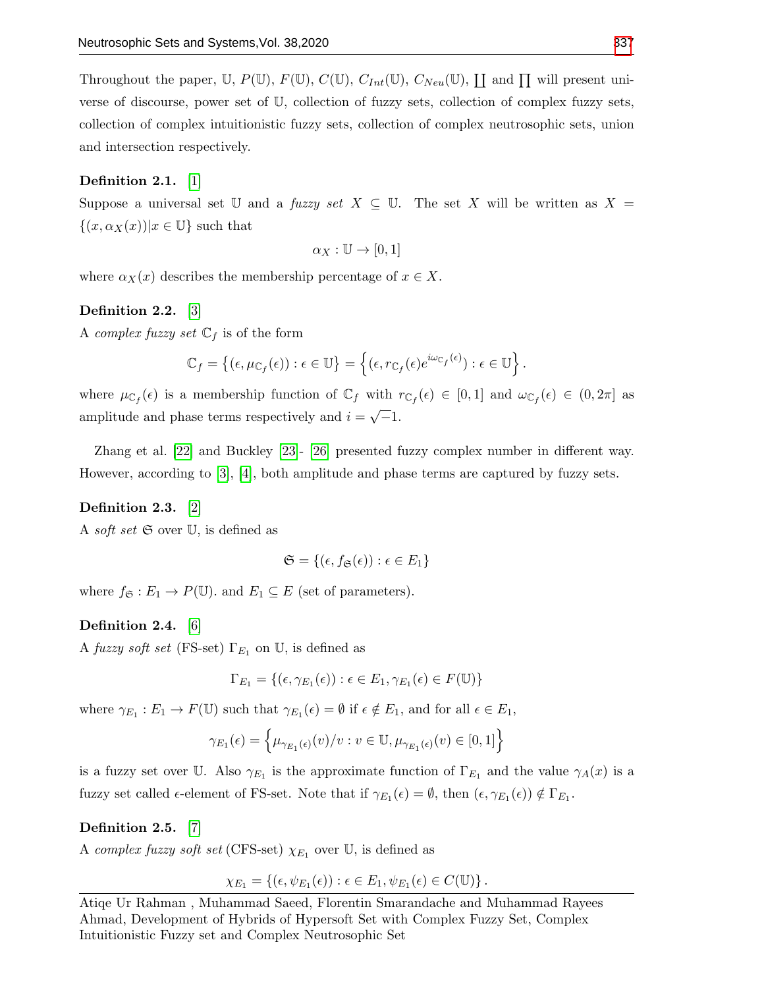Throughout the paper, U,  $P(\mathbb{U})$ ,  $F(\mathbb{U})$ ,  $C(\mathbb{U})$ ,  $C_{Int}(\mathbb{U})$ ,  $C_{Neu}(\mathbb{U})$ ,  $\coprod$  and  $\prod$  will present universe of discourse, power set of U, collection of fuzzy sets, collection of complex fuzzy sets, collection of complex intuitionistic fuzzy sets, collection of complex neutrosophic sets, union and intersection respectively.

# Definition 2.1. [\[1\]](#page-18-0)

Suppose a universal set U and a fuzzy set  $X \subseteq \mathbb{U}$ . The set X will be written as  $X =$  $\{(x,\alpha_X(x))|x\in\mathbb{U}\}\$  such that

$$
\alpha_X: \mathbb{U} \to [0,1]
$$

where  $\alpha_X(x)$  describes the membership percentage of  $x \in X$ .

### Definition 2.2. [\[3\]](#page-18-2)

A *complex fuzzy set*  $\mathbb{C}_f$  is of the form

$$
\mathbb{C}_f = \left\{ (\epsilon, \mu_{\mathbb{C}_f}(\epsilon)) : \epsilon \in \mathbb{U} \right\} = \left\{ (\epsilon, r_{\mathbb{C}_f}(\epsilon) e^{i\omega_{\mathbb{C}_f}(\epsilon)}) : \epsilon \in \mathbb{U} \right\}.
$$

where  $\mu_{\mathbb{C}_f}(\epsilon)$  is a membership function of  $\mathbb{C}_f$  with  $r_{\mathbb{C}_f}(\epsilon) \in [0,1]$  and  $\omega_{\mathbb{C}_f}(\epsilon) \in (0,2\pi]$  as amplitude and phase terms respectively and  $i = \sqrt{-1}$ . √

Zhang et al. [\[22\]](#page-18-17) and Buckley [\[23\]](#page-18-18)- [\[26\]](#page-19-1) presented fuzzy complex number in different way. However, according to [\[3\]](#page-18-2), [\[4\]](#page-18-3), both amplitude and phase terms are captured by fuzzy sets.

# Definition 2.3. [\[2\]](#page-18-1)

A *soft set*  $\mathfrak{S}$  over  $\mathbb{U}$ , is defined as

$$
\mathfrak{S} = \{ (\epsilon, f_{\mathfrak{S}}(\epsilon)) : \epsilon \in E_1 \}
$$

where  $f_{\mathfrak{S}} : E_1 \to P(\mathbb{U})$  and  $E_1 \subseteq E$  (set of parameters).

# Definition 2.4. [\[6\]](#page-18-5)

A fuzzy soft set (FS-set)  $\Gamma_{E_1}$  on U, is defined as

$$
\Gamma_{E_1} = \{ (\epsilon, \gamma_{E_1}(\epsilon)) : \epsilon \in E_1, \gamma_{E_1}(\epsilon) \in F(\mathbb{U}) \}
$$

where  $\gamma_{E_1}: E_1 \to F(\mathbb{U})$  such that  $\gamma_{E_1}(\epsilon) = \emptyset$  if  $\epsilon \notin E_1$ , and for all  $\epsilon \in E_1$ ,

$$
\gamma_{E_1}(\epsilon) = \left\{ \mu_{\gamma_{E_1}(\epsilon)}(v)/v : v \in \mathbb{U}, \mu_{\gamma_{E_1}(\epsilon)}(v) \in [0,1] \right\}
$$

is a fuzzy set over U. Also  $\gamma_{E_1}$  is the approximate function of  $\Gamma_{E_1}$  and the value  $\gamma_A(x)$  is a fuzzy set called  $\epsilon$ -element of FS-set. Note that if  $\gamma_{E_1}(\epsilon) = \emptyset$ , then  $(\epsilon, \gamma_{E_1}(\epsilon)) \notin \Gamma_{E_1}$ .

# Definition 2.5. [\[7\]](#page-18-6)

A complex fuzzy soft set (CFS-set)  $\chi_{E_1}$  over U, is defined as

$$
\chi_{E_1} = \{ (\epsilon, \psi_{E_1}(\epsilon)) : \epsilon \in E_1, \psi_{E_1}(\epsilon) \in C(\mathbb{U}) \}.
$$

Atiqe Ur Rahman , Muhammad Saeed, Florentin Smarandache and Muhammad Rayees Ahmad, Development of Hybrids of Hypersoft Set with Complex Fuzzy Set, Complex Intuitionistic Fuzzy set and Complex Neutrosophic Set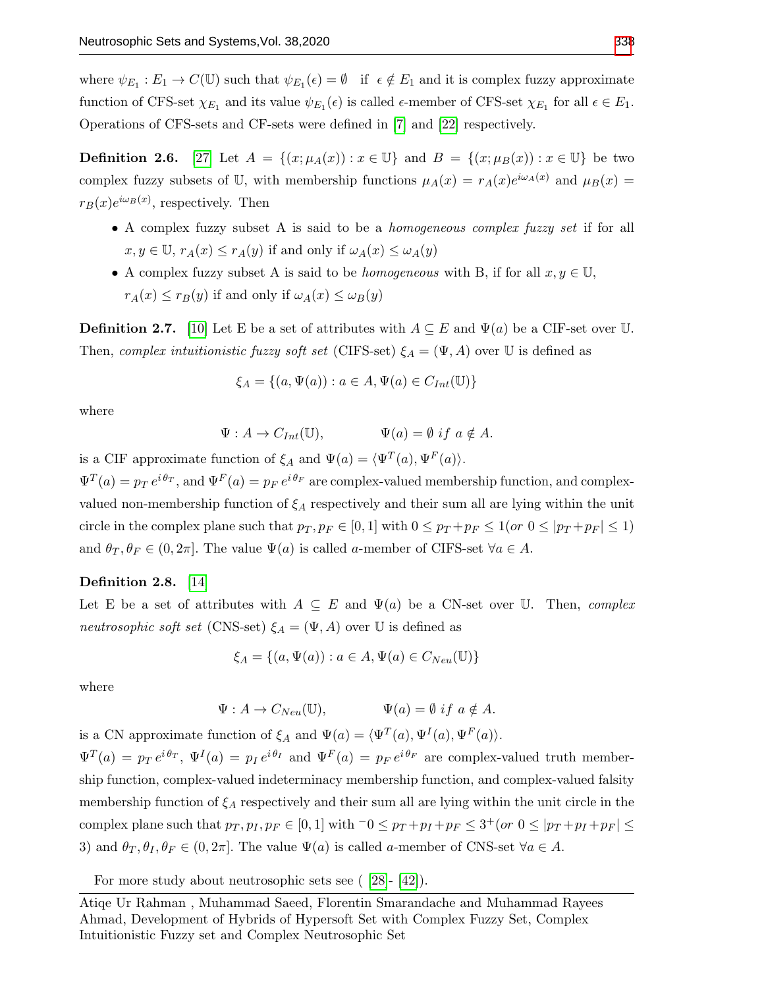where  $\psi_{E_1}: E_1 \to C(\mathbb{U})$  such that  $\psi_{E_1}(\epsilon) = \emptyset$  if  $\epsilon \notin E_1$  and it is complex fuzzy approximate function of CFS-set  $\chi_{E_1}$  and its value  $\psi_{E_1}(\epsilon)$  is called  $\epsilon$ -member of CFS-set  $\chi_{E_1}$  for all  $\epsilon \in E_1$ . Operations of CFS-sets and CF-sets were defined in [\[7\]](#page-18-6) and [\[22\]](#page-18-17) respectively.

**Definition 2.6.** [\[27\]](#page-19-2) Let  $A = \{(x; \mu_A(x)) : x \in \mathbb{U}\}\$ and  $B = \{(x; \mu_B(x)) : x \in \mathbb{U}\}\$ be two complex fuzzy subsets of U, with membership functions  $\mu_A(x) = r_A(x)e^{i\omega_A(x)}$  and  $\mu_B(x) =$  $r_B(x)e^{i\omega_B(x)}$ , respectively. Then

- A complex fuzzy subset A is said to be a homogeneous complex fuzzy set if for all  $x, y \in \mathbb{U}$ ,  $r_A(x) \leq r_A(y)$  if and only if  $\omega_A(x) \leq \omega_A(y)$
- A complex fuzzy subset A is said to be *homogeneous* with B, if for all  $x, y \in \mathbb{U}$ ,  $r_A(x) \leq r_B(y)$  if and only if  $\omega_A(x) \leq \omega_B(y)$

**Definition 2.7.** [\[10\]](#page-18-9) Let E be a set of attributes with  $A \subseteq E$  and  $\Psi(a)$  be a CIF-set over U. Then, complex intuitionistic fuzzy soft set (CIFS-set)  $\xi_A = (\Psi, A)$  over  $\mathbb U$  is defined as

$$
\xi_A = \{(a, \Psi(a)) : a \in A, \Psi(a) \in C_{Int}(\mathbb{U})\}
$$

where

$$
\Psi: A \to C_{Int}(\mathbb{U}), \qquad \Psi(a) = \emptyset \text{ if } a \notin A.
$$

is a CIF approximate function of  $\xi_A$  and  $\Psi(a) = \langle \Psi^T(a), \Psi^F(a) \rangle$ .

 $\Psi^T(a) = p_T e^{i \theta_T}$ , and  $\Psi^F(a) = p_F e^{i \theta_F}$  are complex-valued membership function, and complexvalued non-membership function of  $\xi_A$  respectively and their sum all are lying within the unit circle in the complex plane such that  $p_T, p_F \in [0, 1]$  with  $0 \leq p_T + p_F \leq 1$  (or  $0 \leq |p_T + p_F| \leq 1$ ) and  $\theta_T, \theta_F \in (0, 2\pi]$ . The value  $\Psi(a)$  is called a-member of CIFS-set  $\forall a \in A$ .

# Definition 2.8. [\[14\]](#page-18-13)

Let E be a set of attributes with  $A \subseteq E$  and  $\Psi(a)$  be a CN-set over U. Then, complex neutrosophic soft set (CNS-set)  $\xi_A = (\Psi, A)$  over  $\mathbb U$  is defined as

$$
\xi_A = \{(a, \Psi(a)) : a \in A, \Psi(a) \in C_{Neu}(\mathbb{U})\}
$$

where

 $\Psi : A \to C_{N_{\text{ext}}}(\mathbb{U}), \qquad \Psi(a) = \emptyset \text{ if } a \notin A.$ 

is a CN approximate function of  $\xi_A$  and  $\Psi(a) = \langle \Psi^T(a), \Psi^I(a), \Psi^F(a) \rangle$ .  $\Psi^T(a) = p_T e^{i \theta_T}, \Psi^I(a) = p_I e^{i \theta_I}$  and  $\Psi^F(a) = p_F e^{i \theta_F}$  are complex-valued truth membership function, complex-valued indeterminacy membership function, and complex-valued falsity membership function of  $\xi_A$  respectively and their sum all are lying within the unit circle in the complex plane such that  $p_T, p_I, p_F \in [0, 1]$  with  $\overline{\phantom{a}} 0 \leq p_T + p_I + p_F \leq 3^+(\overline{\phantom{a}} \cdot 0 \leq |p_T + p_I + p_F| \leq 3^+ \overline{\phantom{a}} \cdot 0$ 3) and  $\theta_T, \theta_I, \theta_F \in (0, 2\pi]$ . The value  $\Psi(a)$  is called a-member of CNS-set  $\forall a \in A$ .

For more study about neutrosophic sets see ( [\[28\]](#page-19-3)- [\[42\]](#page-19-4)).

Atiqe Ur Rahman , Muhammad Saeed, Florentin Smarandache and Muhammad Rayees Ahmad, Development of Hybrids of Hypersoft Set with Complex Fuzzy Set, Complex Intuitionistic Fuzzy set and Complex Neutrosophic Set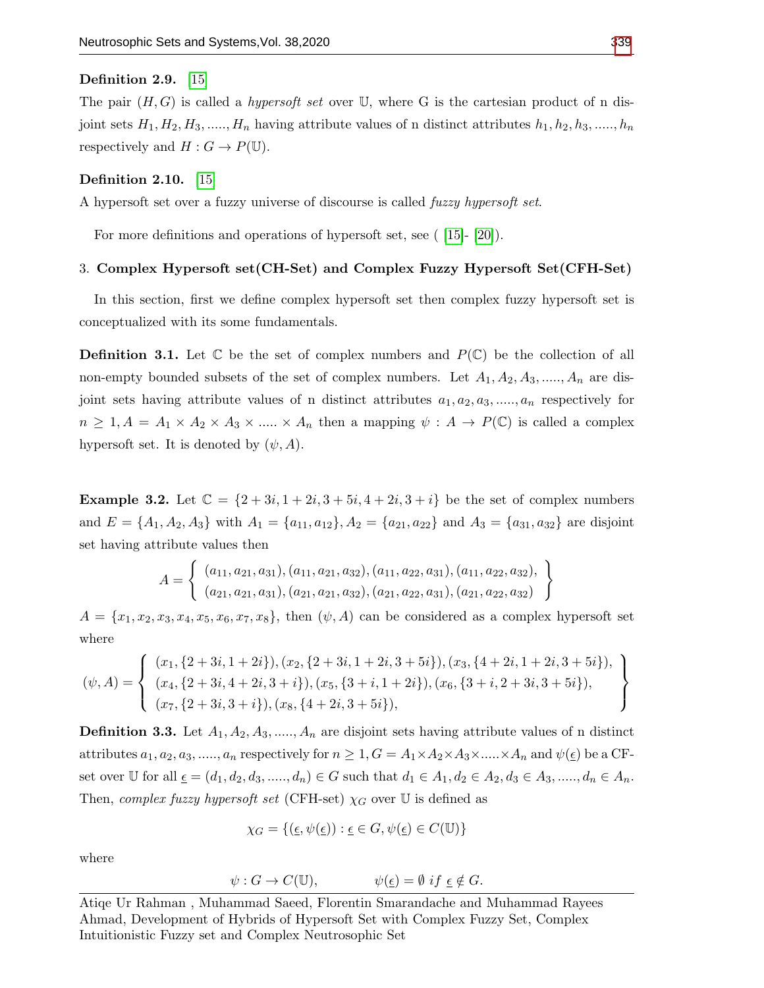### Definition 2.9. [\[15\]](#page-18-14)

The pair  $(H, G)$  is called a *hypersoft set* over U, where G is the cartesian product of n disjoint sets  $H_1, H_2, H_3, \ldots, H_n$  having attribute values of n distinct attributes  $h_1, h_2, h_3, \ldots, h_n$ respectively and  $H : G \to P(\mathbb{U})$ .

#### Definition 2.10. [\[15\]](#page-18-14)

A hypersoft set over a fuzzy universe of discourse is called fuzzy hypersoft set.

For more definitions and operations of hypersoft set, see ( [\[15\]](#page-18-14)- [\[20\]](#page-18-19)).

### 3. Complex Hypersoft set(CH-Set) and Complex Fuzzy Hypersoft Set(CFH-Set)

In this section, first we define complex hypersoft set then complex fuzzy hypersoft set is conceptualized with its some fundamentals.

**Definition 3.1.** Let  $\mathbb C$  be the set of complex numbers and  $P(\mathbb C)$  be the collection of all non-empty bounded subsets of the set of complex numbers. Let  $A_1, A_2, A_3, \ldots, A_n$  are disjoint sets having attribute values of n distinct attributes  $a_1, a_2, a_3, \ldots, a_n$  respectively for  $n \geq 1, A = A_1 \times A_2 \times A_3 \times \dots \times A_n$  then a mapping  $\psi : A \to P(\mathbb{C})$  is called a complex hypersoft set. It is denoted by  $(\psi, A)$ .

**Example 3.2.** Let  $C = \{2+3i, 1+2i, 3+5i, 4+2i, 3+i\}$  be the set of complex numbers and  $E = \{A_1, A_2, A_3\}$  with  $A_1 = \{a_{11}, a_{12}\}, A_2 = \{a_{21}, a_{22}\}$  and  $A_3 = \{a_{31}, a_{32}\}$  are disjoint set having attribute values then

$$
A = \left\{ \begin{array}{c} (a_{11}, a_{21}, a_{31}), (a_{11}, a_{21}, a_{32}), (a_{11}, a_{22}, a_{31}), (a_{11}, a_{22}, a_{32}), \\ (a_{21}, a_{21}, a_{31}), (a_{21}, a_{21}, a_{32}), (a_{21}, a_{22}, a_{31}), (a_{21}, a_{22}, a_{32}) \end{array} \right\}
$$

 $A = \{x_1, x_2, x_3, x_4, x_5, x_6, x_7, x_8\}$ , then  $(\psi, A)$  can be considered as a complex hypersoft set where

$$
(\psi, A) = \left\{ \begin{array}{l} (x_1, \{2+3i, 1+2i\}), (x_2, \{2+3i, 1+2i, 3+5i\}), (x_3, \{4+2i, 1+2i, 3+5i\}), \\ (x_4, \{2+3i, 4+2i, 3+i\}), (x_5, \{3+i, 1+2i\}), (x_6, \{3+i, 2+3i, 3+5i\}), \\ (x_7, \{2+3i, 3+i\}), (x_8, \{4+2i, 3+5i\}), \end{array} \right\}
$$

**Definition 3.3.** Let  $A_1, A_2, A_3, \ldots, A_n$  are disjoint sets having attribute values of n distinct attributes  $a_1, a_2, a_3, \ldots, a_n$  respectively for  $n \geq 1, G = A_1 \times A_2 \times A_3 \times \ldots \times A_n$  and  $\psi(\underline{\epsilon})$  be a CFset over U for all  $\underline{\epsilon} = (d_1, d_2, d_3, \dots, d_n) \in G$  such that  $d_1 \in A_1, d_2 \in A_2, d_3 \in A_3, \dots, d_n \in A_n$ . Then, complex fuzzy hypersoft set (CFH-set)  $\chi_G$  over U is defined as

$$
\chi_G = \{ (\underline{\epsilon}, \psi(\underline{\epsilon})) : \underline{\epsilon} \in G, \psi(\underline{\epsilon}) \in C(\mathbb{U}) \}
$$

where

$$
\psi: G \to C(\mathbb{U}), \qquad \psi(\underline{\epsilon}) = \emptyset \text{ if } \underline{\epsilon} \notin G.
$$

Atiqe Ur Rahman , Muhammad Saeed, Florentin Smarandache and Muhammad Rayees Ahmad, Development of Hybrids of Hypersoft Set with Complex Fuzzy Set, Complex Intuitionistic Fuzzy set and Complex Neutrosophic Set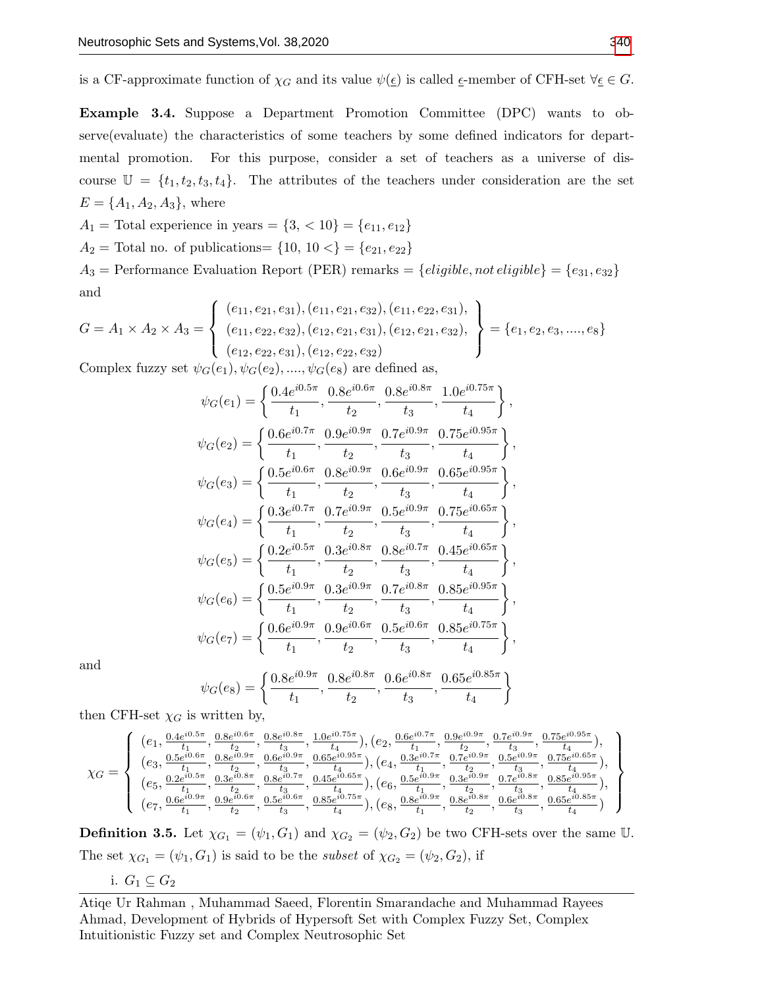is a CF-approximate function of  $\chi_G$  and its value  $\psi(\underline{\epsilon})$  is called  $\underline{\epsilon}$ -member of CFH-set  $\forall \underline{\epsilon} \in G$ .

<span id="page-5-0"></span>Example 3.4. Suppose a Department Promotion Committee (DPC) wants to observe(evaluate) the characteristics of some teachers by some defined indicators for departmental promotion. For this purpose, consider a set of teachers as a universe of discourse  $\mathbb{U} = \{t_1, t_2, t_3, t_4\}.$  The attributes of the teachers under consideration are the set  $E = \{A_1, A_2, A_3\}$ , where

 $A_1$  = Total experience in years = {3, < 10} = { $e_{11}, e_{12}$ }  $A_2$  = Total no. of publications= {10, 10 <} = { $e_{21}, e_{22}$ }  $A_3$  = Performance Evaluation Report (PER) remarks = {*eligible*, not *eligible*} = { $e_{31}, e_{32}$ } and

$$
G = A_1 \times A_2 \times A_3 = \left\{ \begin{array}{l} (e_{11}, e_{21}, e_{31}), (e_{11}, e_{21}, e_{32}), (e_{11}, e_{22}, e_{31}), \\ (e_{11}, e_{22}, e_{32}), (e_{12}, e_{21}, e_{31}), (e_{12}, e_{21}, e_{32}), \\ (e_{12}, e_{22}, e_{31}), (e_{12}, e_{22}, e_{32}) \end{array} \right\} = \{e_1, e_2, e_3, \dots, e_8\}
$$

Complex fuzzy set  $\psi_G(e_1), \psi_G(e_2), \dots, \psi_G(e_8)$  are defined as,

$$
\psi_G(e_1) = \left\{ \frac{0.4e^{i0.5\pi}}{t_1}, \frac{0.8e^{i0.6\pi}}{t_2}, \frac{0.8e^{i0.8\pi}}{t_3}, \frac{1.0e^{i0.75\pi}}{t_4} \right\},
$$
  
\n
$$
\psi_G(e_2) = \left\{ \frac{0.6e^{i0.7\pi}}{t_1}, \frac{0.9e^{i0.9\pi}}{t_2}, \frac{0.7e^{i0.9\pi}}{t_3}, \frac{0.75e^{i0.95\pi}}{t_4} \right\},
$$
  
\n
$$
\psi_G(e_3) = \left\{ \frac{0.5e^{i0.6\pi}}{t_1}, \frac{0.8e^{i0.9\pi}}{t_2}, \frac{0.6e^{i0.9\pi}}{t_3}, \frac{0.65e^{i0.95\pi}}{t_4} \right\},
$$
  
\n
$$
\psi_G(e_4) = \left\{ \frac{0.3e^{i0.7\pi}}{t_1}, \frac{0.7e^{i0.9\pi}}{t_2}, \frac{0.5e^{i0.9\pi}}{t_3}, \frac{0.75e^{i0.65\pi}}{t_4} \right\},
$$
  
\n
$$
\psi_G(e_5) = \left\{ \frac{0.2e^{i0.5\pi}}{t_1}, \frac{0.3e^{i0.8\pi}}{t_2}, \frac{0.8e^{i0.7\pi}}{t_3}, \frac{0.8e^{i0.7\pi}}{t_4}, \frac{0.45e^{i0.65\pi}}{t_4} \right\},
$$
  
\n
$$
\psi_G(e_6) = \left\{ \frac{0.5e^{i0.9\pi}}{t_1}, \frac{0.3e^{i0.9\pi}}{t_2}, \frac{0.7e^{i0.8\pi}}{t_3}, \frac{0.85e^{i0.95\pi}}{t_4} \right\},
$$
  
\n
$$
\psi_G(e_7) = \left\{ \frac{0.6e^{i0.9\pi}}{t_1}, \frac{0.9e^{i0.6\pi}}{t_2}, \frac{0.5e^{i0.8\pi}}{t_3}, \frac{0.85e^{i0.95\
$$

and

$$
\psi_G(e_8) = \left\{ \frac{0.8e^{i0.9\pi}}{t_1}, \frac{0.8e^{i0.8\pi}}{t_2}, \frac{0.6e^{i0.8\pi}}{t_3}, \frac{0.65e^{i0.85\pi}}{t_4} \right\}
$$

then CFH-set  $\chi_G$  is written by,

$$
\chi_G=\left\{\begin{array}{l} (e_1,\frac{0.4e^{i0.5\pi}}{t_1},\frac{0.8e^{i0.6\pi}}{t_2},\frac{0.8e^{i0.8\pi}}{t_3},\frac{1.0e^{i0.75\pi}}{t_4}), (e_2,\frac{0.6e^{i0.7\pi}}{t_1},\frac{0.9e^{i0.9\pi}}{t_2},\frac{0.7e^{i0.9\pi}}{t_3},\frac{0.75e^{i0.9\pi}}{t_4}),\\ (e_3,\frac{0.5e^{i0.6\pi}}{t_1},\frac{0.8e^{i0.9\pi}}{t_2},\frac{0.6e^{i0.9\pi}}{t_3},\frac{0.6e^{i0.9\pi}}{t_4}), (e_4,\frac{0.3e^{i0.7\pi}}{t_1},\frac{0.7e^{i0.9\pi}}{t_2},\frac{0.5e^{i0.9\pi}}{t_4},\frac{0.75e^{i0.8\pi}}{t_4}),\\ (e_5,\frac{0.2e^{i0.5\pi}}{t_1},\frac{0.2e^{i0.8\pi}}{t_2},\frac{0.3e^{i0.8\pi}}{t_2},\frac{0.45e^{i0.65\pi}}{t_3}), (e_6,\frac{0.5e^{i0.9\pi}}{t_1},\frac{0.7e^{i0.9\pi}}{t_2},\frac{0.5e^{i0.8\pi}}{t_3},\frac{0.7e^{i0.9\pi}}{t_4})\\ (e_7,\frac{0.6e^{i0.9\pi}}{t_1},\frac{0.9e^{i0.6\pi}}{t_2},\frac{0.5e^{i0.6\pi}}{t_3},\frac{0.8e^{i0.7\pi}}{t_4}), (e_8,\frac{0.8e^{i0.9\pi}}{t_1},\frac{0.8e^{i0.9\pi}}{t_2},\frac{0.8e^{i0.8\pi}}{t_4})\\ (e_7,\frac{0.6e^{i0.9\pi}}{t_1},\frac{0.9e^{i0.6\pi}}{t_2},\frac{0.5e^{i0.6\pi}}{t_3},\frac{0.8e^{i0.7\pi}}{t_4}), (e
$$

**Definition 3.5.** Let  $\chi_{G_1} = (\psi_1, G_1)$  and  $\chi_{G_2} = (\psi_2, G_2)$  be two CFH-sets over the same U. The set  $\chi_{G_1} = (\psi_1, G_1)$  is said to be the *subset* of  $\chi_{G_2} = (\psi_2, G_2)$ , if

i. 
$$
G_1 \subseteq G_2
$$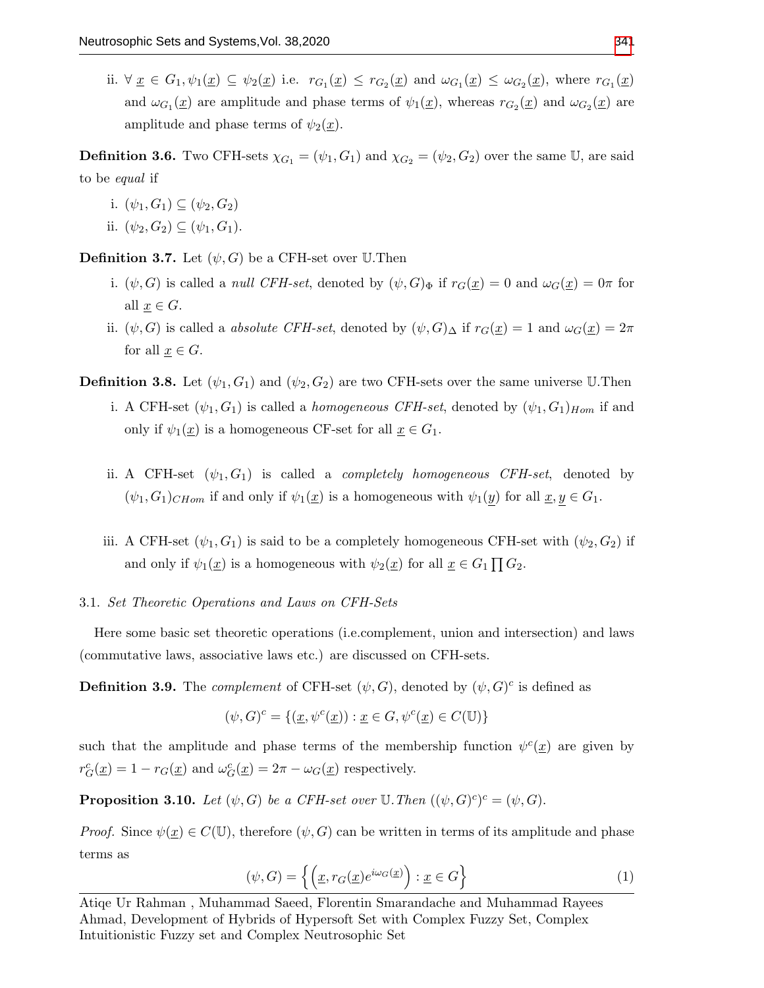ii.  $\forall \underline{x} \in G_1, \psi_1(\underline{x}) \subseteq \psi_2(\underline{x})$  i.e.  $r_{G_1}(\underline{x}) \leq r_{G_2}(\underline{x})$  and  $\omega_{G_1}(\underline{x}) \leq \omega_{G_2}(\underline{x})$ , where  $r_{G_1}(\underline{x})$ and  $\omega_{G_1}(\underline{x})$  are amplitude and phase terms of  $\psi_1(\underline{x})$ , whereas  $r_{G_2}(\underline{x})$  and  $\omega_{G_2}(\underline{x})$  are amplitude and phase terms of  $\psi_2(\underline{x})$ .

**Definition 3.6.** Two CFH-sets  $\chi_{G_1} = (\psi_1, G_1)$  and  $\chi_{G_2} = (\psi_2, G_2)$  over the same U, are said to be equal if

- i.  $(\psi_1, G_1) \subseteq (\psi_2, G_2)$
- ii.  $(\psi_2, G_2) \subseteq (\psi_1, G_1)$ .

**Definition 3.7.** Let  $(\psi, G)$  be a CFH-set over U.Then

- i.  $(\psi, G)$  is called a *null CFH-set*, denoted by  $(\psi, G)_{\Phi}$  if  $r_G(\underline{x}) = 0$  and  $\omega_G(\underline{x}) = 0\pi$  for all  $x \in G$ .
- ii.  $(\psi, G)$  is called a *absolute CFH-set*, denoted by  $(\psi, G)_{\Delta}$  if  $r_G(\underline{x}) = 1$  and  $\omega_G(\underline{x}) = 2\pi$ for all  $\underline{x} \in G$ .
- **Definition 3.8.** Let  $(\psi_1, G_1)$  and  $(\psi_2, G_2)$  are two CFH-sets over the same universe U.Then
	- i. A CFH-set  $(\psi_1, G_1)$  is called a *homogeneous CFH-set*, denoted by  $(\psi_1, G_1)_{Hom}$  if and only if  $\psi_1(\underline{x})$  is a homogeneous CF-set for all  $\underline{x} \in G_1$ .
	- ii. A CFH-set  $(\psi_1, G_1)$  is called a *completely homogeneous CFH-set*, denoted by  $(\psi_1, G_1)_{CHom}$  if and only if  $\psi_1(\underline{x})$  is a homogeneous with  $\psi_1(y)$  for all  $\underline{x}, y \in G_1$ .
	- iii. A CFH-set  $(\psi_1, G_1)$  is said to be a completely homogeneous CFH-set with  $(\psi_2, G_2)$  if and only if  $\psi_1(\underline{x})$  is a homogeneous with  $\psi_2(\underline{x})$  for all  $\underline{x} \in G_1 \prod G_2$ .
- 3.1. Set Theoretic Operations and Laws on CFH-Sets

Here some basic set theoretic operations (i.e.complement, union and intersection) and laws (commutative laws, associative laws etc.) are discussed on CFH-sets.

**Definition 3.9.** The *complement* of CFH-set  $(\psi, G)$ , denoted by  $(\psi, G)^c$  is defined as

$$
(\psi, G)^c = \{ (\underline{x}, \psi^c(\underline{x})) : \underline{x} \in G, \psi^c(\underline{x}) \in C(\mathbb{U}) \}
$$

such that the amplitude and phase terms of the membership function  $\psi^c(\underline{x})$  are given by  $r_G^c(\underline{x}) = 1 - r_G(\underline{x})$  and  $\omega_G^c(\underline{x}) = 2\pi - \omega_G(\underline{x})$  respectively.

**Proposition 3.10.** Let  $(\psi, G)$  be a CFH-set over  $\mathbb{U}$ . Then  $((\psi, G)^c)^c = (\psi, G)$ .

*Proof.* Since  $\psi(x) \in C(\mathbb{U})$ , therefore  $(\psi, G)$  can be written in terms of its amplitude and phase terms as

<span id="page-6-0"></span>
$$
(\psi, G) = \left\{ \left( \underline{x}, r_G(\underline{x}) e^{i\omega_G(\underline{x})} \right) : \underline{x} \in G \right\}
$$
 (1)

Atiqe Ur Rahman , Muhammad Saeed, Florentin Smarandache and Muhammad Rayees Ahmad, Development of Hybrids of Hypersoft Set with Complex Fuzzy Set, Complex Intuitionistic Fuzzy set and Complex Neutrosophic Set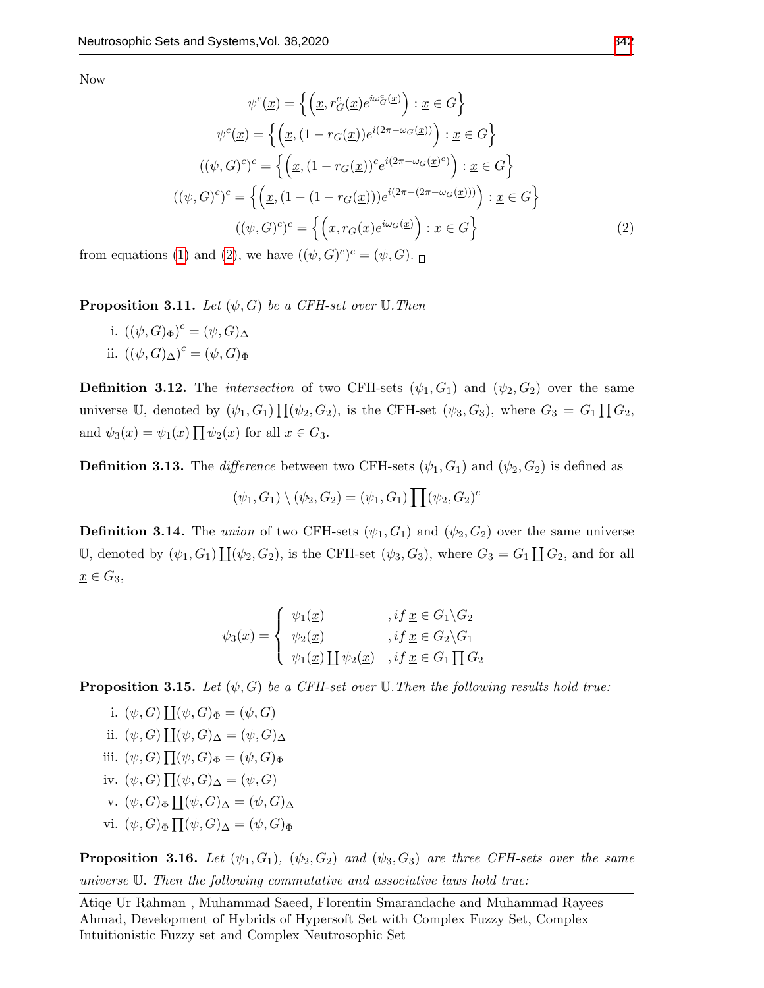Now

<span id="page-7-0"></span>
$$
\psi^{c}(\underline{x}) = \left\{ \left( \underline{x}, r_{G}^{c}(\underline{x})e^{i\omega_{G}^{c}(\underline{x})} \right) : \underline{x} \in G \right\}
$$

$$
\psi^{c}(\underline{x}) = \left\{ \left( \underline{x}, (1 - r_{G}(\underline{x}))e^{i(2\pi - \omega_{G}(\underline{x}))} \right) : \underline{x} \in G \right\}
$$

$$
((\psi, G)^{c})^{c} = \left\{ \left( \underline{x}, (1 - r_{G}(\underline{x}))^{c}e^{i(2\pi - \omega_{G}(\underline{x})^{c})} \right) : \underline{x} \in G \right\}
$$

$$
((\psi, G)^{c})^{c} = \left\{ \left( \underline{x}, (1 - (1 - r_{G}(\underline{x})))e^{i(2\pi - (2\pi - \omega_{G}(\underline{x})))} \right) : \underline{x} \in G \right\}
$$

$$
((\psi, G)^{c})^{c} = \left\{ \left( \underline{x}, r_{G}(\underline{x})e^{i\omega_{G}(\underline{x})} \right) : \underline{x} \in G \right\}
$$

$$
(2)
$$

from equations [\(1\)](#page-6-0) and [\(2\)](#page-7-0), we have  $((\psi, G)^c)^c = (\psi, G)$ .

**Proposition 3.11.** Let  $(\psi, G)$  be a CFH-set over U. Then

i.  $((\psi, G)_{\Phi})^c = (\psi, G)_{\Delta}$ ii.  $((\psi, G)_{\Delta})^c = (\psi, G)_{\Phi}$ 

**Definition 3.12.** The *intersection* of two CFH-sets  $(\psi_1, G_1)$  and  $(\psi_2, G_2)$  over the same universe U, denoted by  $(\psi_1, G_1) \prod_{i} (\psi_2, G_2)$ , is the CFH-set  $(\psi_3, G_3)$ , where  $G_3 = G_1 \prod_{i} G_2$ , and  $\psi_3(\underline{x}) = \psi_1(\underline{x}) \prod \psi_2(\underline{x})$  for all  $\underline{x} \in G_3$ .

**Definition 3.13.** The difference between two CFH-sets  $(\psi_1, G_1)$  and  $(\psi_2, G_2)$  is defined as

 $(\psi_1, G_1) \setminus (\psi_2, G_2) = (\psi_1, G_1) \prod (\psi_2, G_2)^c$ 

**Definition 3.14.** The union of two CFH-sets  $(\psi_1, G_1)$  and  $(\psi_2, G_2)$  over the same universe U, denoted by  $(\psi_1, G_1) \coprod (\psi_2, G_2)$ , is the CFH-set  $(\psi_3, G_3)$ , where  $G_3 = G_1 \coprod G_2$ , and for all  $\underline{x} \in G_3$ ,

$$
\psi_3(\underline{x}) = \begin{cases} \psi_1(\underline{x}) & , if \underline{x} \in G_1 \backslash G_2 \\ \psi_2(\underline{x}) & , if \underline{x} \in G_2 \backslash G_1 \\ \psi_1(\underline{x}) \coprod \psi_2(\underline{x}) & , if \underline{x} \in G_1 \prod G_2 \end{cases}
$$

**Proposition 3.15.** Let  $(\psi, G)$  be a CFH-set over U. Then the following results hold true:

i.  $(\psi, G) \coprod (\psi, G)_{\Phi} = (\psi, G)$ ii.  $(\psi, G) \coprod (\psi, G)_{\Delta} = (\psi, G)_{\Delta}$ iii.  $(\psi, G) \prod (\psi, G)_{\Phi} = (\psi, G)_{\Phi}$ iv.  $(\psi, G) \prod (\psi, G)_{\Delta} = (\psi, G)$ v.  $(\psi, G)_{\Phi} \coprod (\psi, G)_{\Delta} = (\psi, G)_{\Delta}$ vi.  $(\psi, G)_{\Phi} \prod (\psi, G)_{\Delta} = (\psi, G)_{\Phi}$ 

**Proposition 3.16.** Let  $(\psi_1, G_1)$ ,  $(\psi_2, G_2)$  and  $(\psi_3, G_3)$  are three CFH-sets over the same universe U. Then the following commutative and associative laws hold true: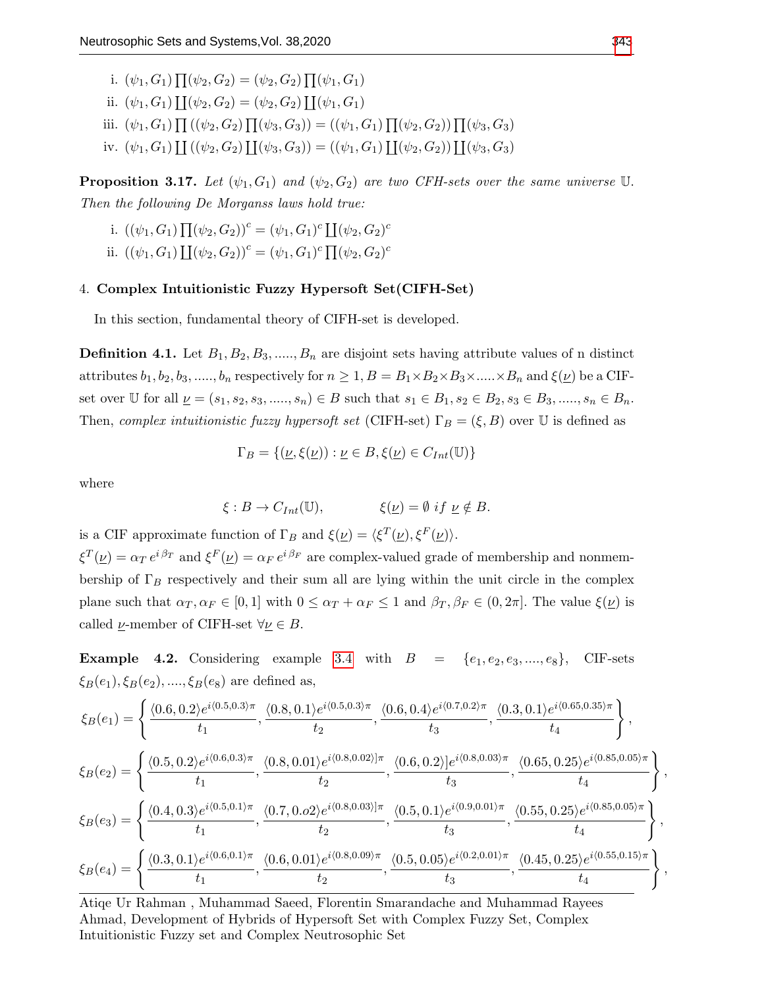i.  $(\psi_1, G_1) \prod (\psi_2, G_2) = (\psi_2, G_2) \prod (\psi_1, G_1)$ ii.  $(\psi_1, G_1) \coprod (\psi_2, G_2) = (\psi_2, G_2) \coprod (\psi_1, G_1)$ iii.  $(\psi_1, G_1) \prod ((\psi_2, G_2) \prod (\psi_3, G_3)) = ((\psi_1, G_1) \prod (\psi_2, G_2)) \prod (\psi_3, G_3)$ iv.  $(\psi_1, G_1) \coprod ((\psi_2, G_2) \coprod (\psi_3, G_3)) = ((\psi_1, G_1) \coprod (\psi_2, G_2)) \coprod (\psi_3, G_3)$ 

**Proposition 3.17.** Let  $(\psi_1, G_1)$  and  $(\psi_2, G_2)$  are two CFH-sets over the same universe U. Then the following De Morganss laws hold true:

- i.  $((\psi_1, G_1) \prod (\psi_2, G_2))^c = (\psi_1, G_1)^c \prod (\psi_2, G_2)^c$
- ii.  $((\psi_1, G_1) \coprod (\psi_2, G_2))^c = (\psi_1, G_1)^c \prod (\psi_2, G_2)^c$

# 4. Complex Intuitionistic Fuzzy Hypersoft Set(CIFH-Set)

In this section, fundamental theory of CIFH-set is developed.

**Definition 4.1.** Let  $B_1, B_2, B_3, \ldots, B_n$  are disjoint sets having attribute values of n distinct attributes  $b_1, b_2, b_3, \ldots, b_n$  respectively for  $n \geq 1, B = B_1 \times B_2 \times B_3 \times \ldots \times B_n$  and  $\xi(\underline{\nu})$  be a CIFset over U for all  $\underline{\nu} = (s_1, s_2, s_3, \dots, s_n) \in B$  such that  $s_1 \in B_1, s_2 \in B_2, s_3 \in B_3, \dots, s_n \in B_n$ . Then, complex intuitionistic fuzzy hypersoft set (CIFH-set)  $\Gamma_B = (\xi, B)$  over U is defined as

$$
\Gamma_B = \{ (\underline{\nu}, \xi(\underline{\nu})) : \underline{\nu} \in B, \xi(\underline{\nu}) \in C_{Int}(\mathbb{U}) \}
$$

where

$$
\xi: B \to C_{Int}(\mathbb{U}), \qquad \xi(\underline{\nu}) = \emptyset \text{ if } \underline{\nu} \notin B.
$$

is a CIF approximate function of  $\Gamma_B$  and  $\xi(\underline{\nu}) = \langle \xi^T(\underline{\nu}), \xi^F(\underline{\nu}) \rangle$ .

 $\xi^T(\underline{\nu}) = \alpha_T e^{i \beta_T}$  and  $\xi^F(\underline{\nu}) = \alpha_F e^{i \beta_F}$  are complex-valued grade of membership and nonmembership of  $\Gamma_B$  respectively and their sum all are lying within the unit circle in the complex plane such that  $\alpha_T, \alpha_F \in [0, 1]$  with  $0 \leq \alpha_T + \alpha_F \leq 1$  and  $\beta_T, \beta_F \in (0, 2\pi]$ . The value  $\xi(\underline{\nu})$  is called  $\nu$ -member of CIFH-set  $\forall \nu \in B$ .

**Example 4.2.** Considering example [3.4](#page-5-0) with  $B = \{e_1, e_2, e_3, \ldots, e_8\}$ , CIF-sets  $\xi_B(e_1), \xi_B(e_2), \ldots, \xi_B(e_8)$  are defined as,

$$
\xi_{B}(e_{1}) = \left\{ \frac{\langle 0.6, 0.2 \rangle e^{i \langle 0.5, 0.3 \rangle \pi}}{t_{1}}, \frac{\langle 0.8, 0.1 \rangle e^{i \langle 0.5, 0.3 \rangle \pi}}{t_{2}}, \frac{\langle 0.6, 0.4 \rangle e^{i \langle 0.7, 0.2 \rangle \pi}}{t_{3}}, \frac{\langle 0.3, 0.1 \rangle e^{i \langle 0.65, 0.35 \rangle \pi}}{t_{4}} \right\},
$$
\n
$$
\xi_{B}(e_{2}) = \left\{ \frac{\langle 0.5, 0.2 \rangle e^{i \langle 0.6, 0.3 \rangle \pi}}{t_{1}}, \frac{\langle 0.8, 0.01 \rangle e^{i \langle 0.8, 0.02 \rangle \pi}}{t_{2}}, \frac{\langle 0.6, 0.2 \rangle \left| e^{i \langle 0.8, 0.03 \rangle \pi}}{t_{3}}, \frac{\langle 0.65, 0.25 \rangle e^{i \langle 0.85, 0.05 \rangle \pi}}{t_{4}} \right\},
$$
\n
$$
\xi_{B}(e_{3}) = \left\{ \frac{\langle 0.4, 0.3 \rangle e^{i \langle 0.5, 0.1 \rangle \pi}}{t_{1}}, \frac{\langle 0.7, 0.02 \rangle e^{i \langle 0.8, 0.03 \rangle \pi}}{t_{2}}, \frac{\langle 0.5, 0.1 \rangle e^{i \langle 0.9, 0.01 \rangle \pi}}{t_{3}}, \frac{\langle 0.55, 0.25 \rangle e^{i \langle 0.85, 0.05 \rangle \pi}}{t_{4}} \right\},
$$
\n
$$
\xi_{B}(e_{4}) = \left\{ \frac{\langle 0.3, 0.1 \rangle e^{i \langle 0.6, 0.1 \rangle \pi}}{t_{1}}, \frac{\langle 0.6, 0.01 \rangle e^{i \langle 0.8, 0.09 \rangle \pi}}{t_{2}}, \frac{\langle 0.5, 0.05 \rangle e^{i \langle 0.2, 0.01 \rangle \pi}}{t_{3}}, \frac{\langle 0.45, 0.25 \rangle e^{i \langle 0.55, 0.15 \rangle \pi}}{t_{4}} \right\},
$$

Atiqe Ur Rahman , Muhammad Saeed, Florentin Smarandache and Muhammad Rayees Ahmad, Development of Hybrids of Hypersoft Set with Complex Fuzzy Set, Complex Intuitionistic Fuzzy set and Complex Neutrosophic Set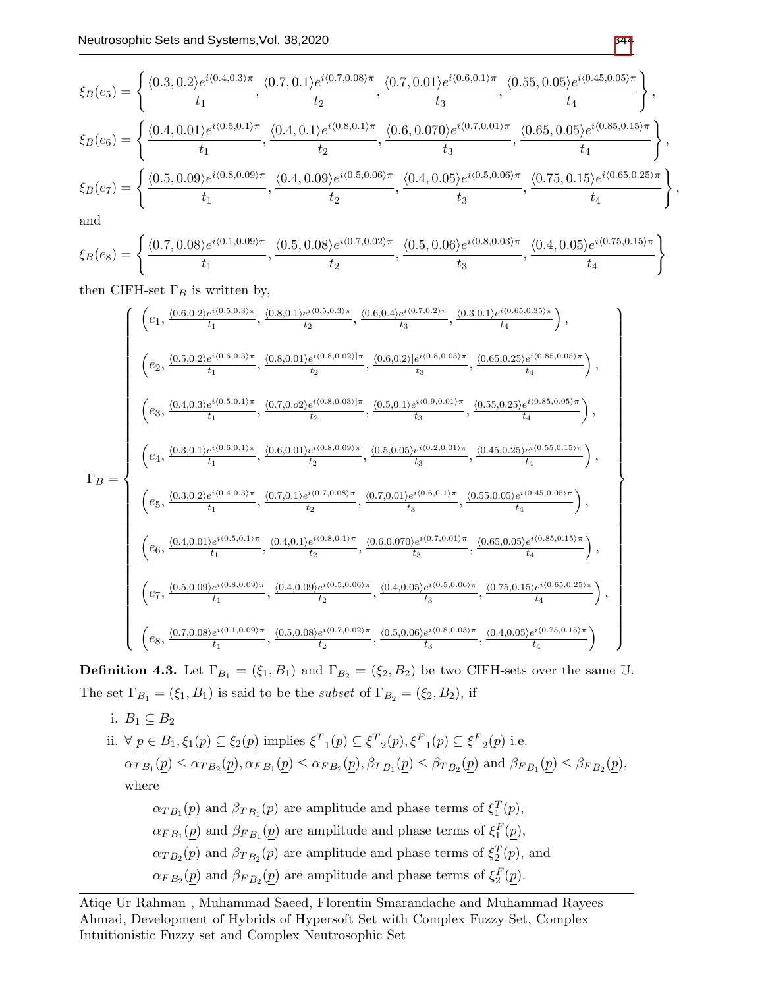$$
\xi_B(e_5) = \left\{ \frac{\langle 0.3, 0.2 \rangle e^{i \langle 0.4, 0.3 \rangle \pi}}{t_1}, \frac{\langle 0.7, 0.1 \rangle e^{i \langle 0.7, 0.08 \rangle \pi}}{t_2}, \frac{\langle 0.7, 0.01 \rangle e^{i \langle 0.6, 0.1 \rangle \pi}}{t_3}, \frac{\langle 0.55, 0.05 \rangle e^{i \langle 0.45, 0.05 \rangle \pi}}{t_4} \right\},
$$
  
\n
$$
\xi_B(e_6) = \left\{ \frac{\langle 0.4, 0.01 \rangle e^{i \langle 0.5, 0.1 \rangle \pi}}{t_1}, \frac{\langle 0.4, 0.1 \rangle e^{i \langle 0.8, 0.1 \rangle \pi}}{t_2}, \frac{\langle 0.6, 0.070 \rangle e^{i \langle 0.7, 0.01 \rangle \pi}}{t_3}, \frac{\langle 0.65, 0.05 \rangle e^{i \langle 0.85, 0.15 \rangle \pi}}{t_4} \right\},
$$
  
\n
$$
\xi_B(e_7) = \left\{ \frac{\langle 0.5, 0.09 \rangle e^{i \langle 0.8, 0.09 \rangle \pi}}{t_1}, \frac{\langle 0.4, 0.09 \rangle e^{i \langle 0.5, 0.06 \rangle \pi}}{t_2}, \frac{\langle 0.4, 0.05 \rangle e^{i \langle 0.5, 0.06 \rangle \pi}}{t_3}, \frac{\langle 0.75, 0.15 \rangle e^{i \langle 0.65, 0.25 \rangle \pi}}{t_4} \right\},
$$

and

$$
\xi_B(e_8)=\left\{\frac{\langle 0.7,0.08\rangle e^{i\langle 0.1,0.09\rangle \pi}}{t_1},\frac{\langle 0.5,0.08\rangle e^{i\langle 0.7,0.02\rangle \pi}}{t_2},\frac{\langle 0.5,0.06\rangle e^{i\langle 0.8,0.03\rangle \pi}}{t_3},\frac{\langle 0.4,0.05\rangle e^{i\langle 0.75,0.15\rangle \pi}}{t_4}\right\}
$$

then CIFH-set  $\Gamma_B$  is written by,

$$
\Gamma_B=\left\{\begin{array}{c} \left(e_1,\frac{\langle 0.6,0.2\rangle e^{i\langle 0.5,0.3\rangle\pi}}{t_1},\frac{\langle 0.8,0.1\rangle e^{i\langle 0.5,0.3\rangle\pi}}{t_2},\frac{\langle 0.6,0.4\rangle e^{i\langle 0.7,0.2\rangle\pi}}{t_3},\frac{\langle 0.3,0.1\rangle e^{i\langle 0.65,0.35\rangle\pi}}{t_4}\right),\\ \left(e_2,\frac{\langle 0.5,0.2\rangle e^{i\langle 0.6,0.3\rangle\pi}}{t_1},\frac{\langle 0.8,0.01\rangle e^{i\langle 0.8,0.02\rangle\pi}}{t_2},\frac{\langle 0.6,0.2\rangle\right] e^{i\langle 0.8,0.03\rangle\pi}}{t_3},\frac{\langle 0.65,0.25\rangle e^{i\langle 0.85,0.05\rangle\pi}}{t_4}\right),\\ \left(e_3,\frac{\langle 0.4,0.3\rangle e^{i\langle 0.5,0.1\rangle\pi}}{t_1},\frac{\langle 0.7,0.02\rangle e^{i\langle 0.8,0.03\rangle\pi}}{t_2},\frac{\langle 0.5,0.1\rangle e^{i\langle 0.8,0.01\rangle\pi}}{t_3},\frac{\langle 0.5,0.1\rangle e^{i\langle 0.8,0.01\rangle\pi}}{t_3},\frac{\langle 0.45,0.25\rangle e^{i\langle 0.55,0.15\rangle\pi}}{t_4}\right),\\ \left(e_4,\frac{\langle 0.3,0.1\rangle e^{i\langle 0.6,0.1\rangle\pi}}{t_1},\frac{\langle 0.6,0.01\rangle e^{i\langle 0.7,0.08\rangle\pi}}{t_2},\frac{\langle 0.5,0.05\rangle e^{i\langle 0.2,0.1\rangle\pi}}{t_3},\frac{\langle 0.5,0.25\rangle e^{i\langle 0.45,0.25\rangle e^{i\langle 0.45,0.15\rangle\pi}}{t_4}\right),\\ \left(e_6,\frac{\langle 0.4,0.01\rangle e^{i\langle 0.5,0.1\rangle\pi}}{t_1},
$$

**Definition 4.3.** Let  $\Gamma_{B_1} = (\xi_1, B_1)$  and  $\Gamma_{B_2} = (\xi_2, B_2)$  be two CIFH-sets over the same U. The set  $\Gamma_{B_1} = (\xi_1, B_1)$  is said to be the *subset* of  $\Gamma_{B_2} = (\xi_2, B_2)$ , if

i.  $B_1 \subseteq B_2$ ii.  $\forall \underline{p} \in B_1, \xi_1(\underline{p}) \subseteq \xi_2(\underline{p})$  implies  $\xi^T{}_1(\underline{p}) \subseteq \xi^T{}_2(\underline{p}), \xi^F{}_1(\underline{p}) \subseteq \xi^F{}_2(\underline{p})$  i.e.  $\alpha_{TB_1}(\underline{p}) \leq \alpha_{TB_2}(\underline{p}), \alpha_{FB_1}(\underline{p}) \leq \alpha_{FB_2}(\underline{p}), \beta_{TB_1}(\underline{p}) \leq \beta_{TB_2}(\underline{p})$  and  $\beta_{FB_1}(\underline{p}) \leq \beta_{FB_2}(\underline{p}),$ where  $\alpha_{TB_1}(\underline{p})$  and  $\beta_{TB_1}(\underline{p})$  are amplitude and phase terms of  $\xi_1^T(\underline{p})$ ,  $\alpha_{FB_1}(\underline{p})$  and  $\beta_{FB_1}(\underline{p})$  are amplitude and phase terms of  $\xi_1^F(\underline{p})$ ,  $\alpha_{TB_2}(\underline{p})$  and  $\beta_{TB_2}(\underline{p})$  are amplitude and phase terms of  $\xi_2^T(\underline{p})$ , and

 $\alpha_{FB_2}(\underline{p})$  and  $\beta_{FB_2}(\underline{p})$  are amplitude and phase terms of  $\xi_2^F(\underline{p})$ .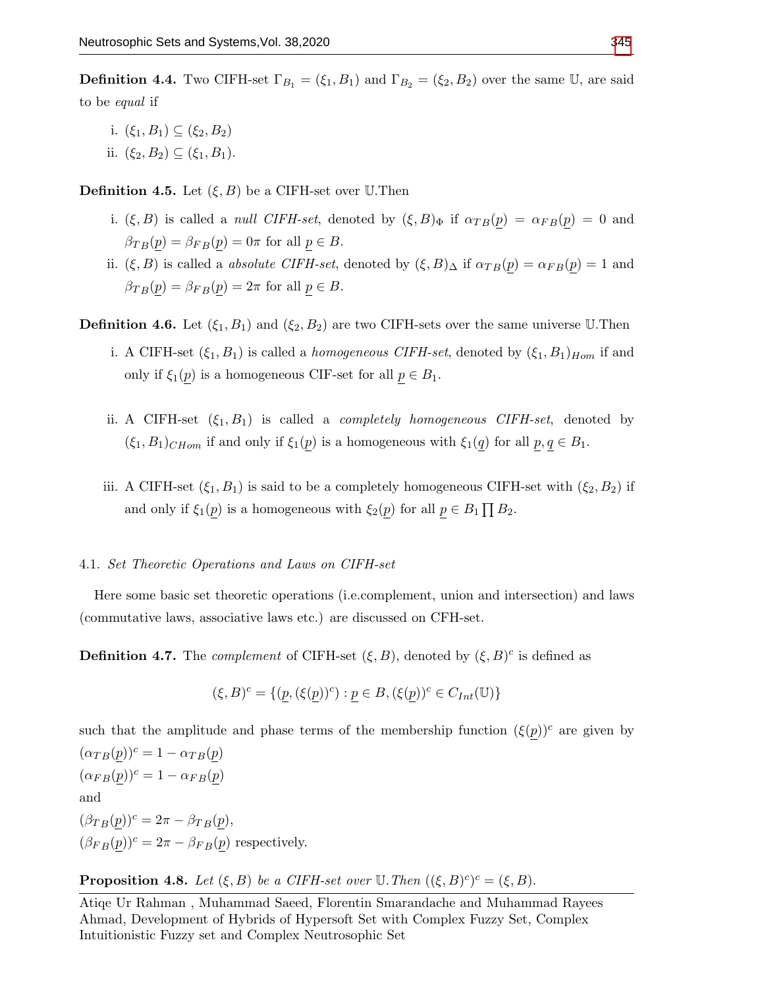**Definition 4.4.** Two CIFH-set  $\Gamma_{B_1} = (\xi_1, B_1)$  and  $\Gamma_{B_2} = (\xi_2, B_2)$  over the same U, are said to be equal if

- i.  $(\xi_1, B_1) \subseteq (\xi_2, B_2)$
- ii.  $(\xi_2, B_2) \subseteq (\xi_1, B_1)$ .

**Definition 4.5.** Let  $(\xi, B)$  be a CIFH-set over U.Then

- i.  $(\xi, B)$  is called a *null CIFH-set*, denoted by  $(\xi, B)_{\Phi}$  if  $\alpha_{TB}(p) = \alpha_{FB}(p) = 0$  and  $\beta_{TB}(p) = \beta_{FB}(p) = 0\pi$  for all  $p \in B$ .
- ii.  $(\xi, B)$  is called a *absolute CIFH-set*, denoted by  $(\xi, B)_{\Delta}$  if  $\alpha_{TB}(p) = \alpha_{FB}(p) = 1$  and  $\beta_{TB}(p) = \beta_{FB}(p) = 2\pi$  for all  $p \in B$ .

**Definition 4.6.** Let  $(\xi_1, B_1)$  and  $(\xi_2, B_2)$  are two CIFH-sets over the same universe U.Then

- i. A CIFH-set  $(\xi_1, B_1)$  is called a *homogeneous CIFH-set*, denoted by  $(\xi_1, B_1)_{Hom}$  if and only if  $\xi_1(p)$  is a homogeneous CIF-set for all  $p \in B_1$ .
- ii. A CIFH-set  $(\xi_1, B_1)$  is called a *completely homogeneous CIFH-set*, denoted by  $(\xi_1, B_1)_{CHom}$  if and only if  $\xi_1(p)$  is a homogeneous with  $\xi_1(q)$  for all  $p, q \in B_1$ .
- iii. A CIFH-set  $(\xi_1, B_1)$  is said to be a completely homogeneous CIFH-set with  $(\xi_2, B_2)$  if and only if  $\xi_1(p)$  is a homogeneous with  $\xi_2(p)$  for all  $p \in B_1 \prod B_2$ .

### 4.1. Set Theoretic Operations and Laws on CIFH-set

Here some basic set theoretic operations (i.e.complement, union and intersection) and laws (commutative laws, associative laws etc.) are discussed on CFH-set.

**Definition 4.7.** The *complement* of CIFH-set  $(\xi, B)$ , denoted by  $(\xi, B)^c$  is defined as

$$
(\xi, B)^c = \{ (\underline{p}, (\xi(\underline{p}))^c) : \underline{p} \in B, (\xi(\underline{p}))^c \in C_{Int}(\mathbb{U}) \}
$$

such that the amplitude and phase terms of the membership function  $(\xi(p))^c$  are given by  $(\alpha_{TB}(p))^c = 1 - \alpha_{TB}(p)$  $(\alpha_{FB}(p))^c = 1 - \alpha_{FB}(p)$ and  $(\beta_{TB}(p))^c = 2\pi - \beta_{TB}(p),$  $(\beta_{FB}(p))^c = 2\pi - \beta_{FB}(p)$  respectively.

**Proposition 4.8.** Let  $(\xi, B)$  be a CIFH-set over  $\mathbb{U}$ . Then  $((\xi, B)^c)^c = (\xi, B)$ .

Atiqe Ur Rahman , Muhammad Saeed, Florentin Smarandache and Muhammad Rayees Ahmad, Development of Hybrids of Hypersoft Set with Complex Fuzzy Set, Complex Intuitionistic Fuzzy set and Complex Neutrosophic Set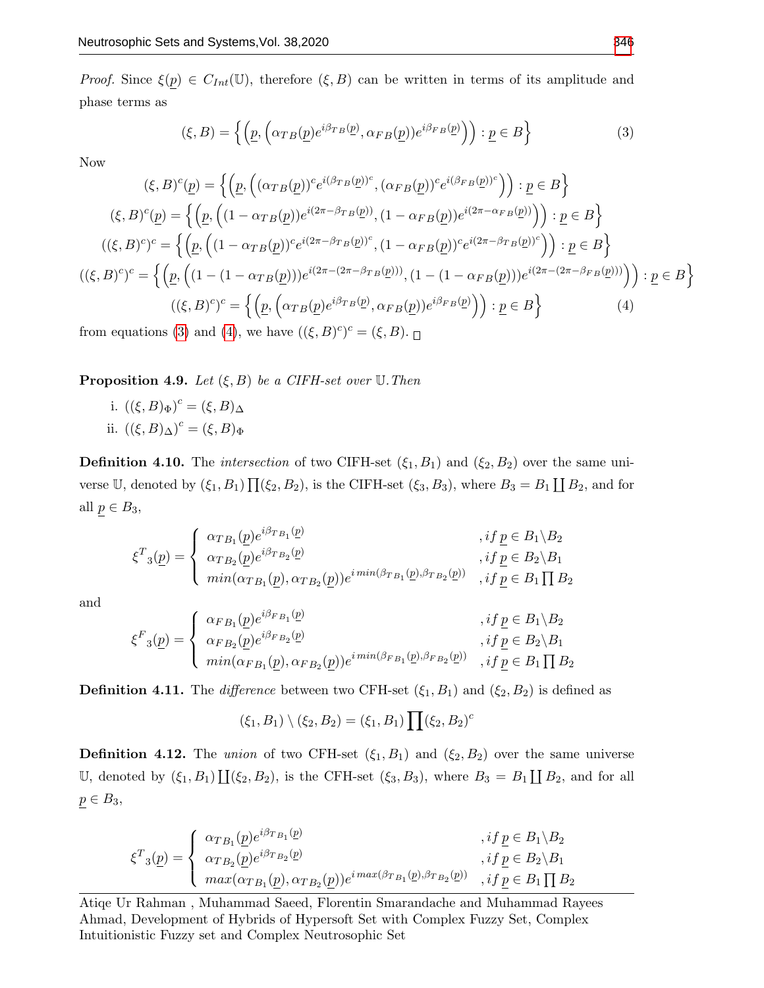*Proof.* Since  $\xi(p) \in C_{Int}(\mathbb{U})$ , therefore  $(\xi, B)$  can be written in terms of its amplitude and phase terms as

<span id="page-11-0"></span>
$$
(\xi, B) = \left\{ \left( \underline{p}, \left( \alpha_{TB}(\underline{p}) e^{i\beta_{TB}(\underline{p})}, \alpha_{FB}(\underline{p}) \right) e^{i\beta_{FB}(\underline{p})} \right) \right) : \underline{p} \in B \right\}
$$
(3)

Now

$$
(\xi, B)^c(\underline{p}) = \left\{ \left( \underline{p}, \left( (\alpha_{TB}(\underline{p}))^c e^{i(\beta_{TB}(\underline{p}))^c}, (\alpha_{FB}(\underline{p}))^c e^{i(\beta_{FB}(\underline{p}))^c} \right) \right) : \underline{p} \in B \right\}
$$
  

$$
(\xi, B)^c(\underline{p}) = \left\{ \left( \underline{p}, \left( (1 - \alpha_{TB}(\underline{p})) e^{i(2\pi - \beta_{TB}(\underline{p}))}, (1 - \alpha_{FB}(\underline{p})) e^{i(2\pi - \alpha_{FB}(\underline{p}))}) \right) : \underline{p} \in B \right\}
$$
  

$$
((\xi, B)^c)^c = \left\{ \left( \underline{p}, \left( (1 - \alpha_{TB}(\underline{p}))^c e^{i(2\pi - \beta_{TB}(\underline{p}))^c}, (1 - \alpha_{FB}(\underline{p}))^c e^{i(2\pi - \beta_{TB}(\underline{p}))^c} \right) \right) : \underline{p} \in B \right\}
$$
  

$$
((\xi, B)^c)^c = \left\{ \left( \underline{p}, \left( (1 - (1 - \alpha_{TB}(\underline{p}))) e^{i(2\pi - (2\pi - \beta_{TB}(\underline{p})))}, (1 - (1 - \alpha_{FB}(\underline{p}))) e^{i(2\pi - (2\pi - \beta_{FB}(\underline{p})))}) \right) \right) : \underline{p} \in B \right\}
$$
  

$$
((\xi, B)^c)^c = \left\{ \left( \underline{p}, \left( \alpha_{TB}(\underline{p}) e^{i\beta_{TB}(\underline{p})}, \alpha_{FB}(\underline{p})) e^{i\beta_{FB}(\underline{p})} \right) \right) : \underline{p} \in B \right\}
$$
  
from equations (3) and (4) we have  $((\xi, B)^c)^c = (\xi, B)$ 

<span id="page-11-1"></span>from equations [\(3\)](#page-11-0) and [\(4\)](#page-11-1), we have  $((\xi, B)^c)^c = (\xi, B)$ .

**Proposition 4.9.** Let  $(\xi, B)$  be a CIFH-set over U. Then

i.  $((\xi, B)<sub>\Phi</sub>)<sup>c</sup> = (\xi, B)<sub>\Delta</sub>$ ii.  $((\xi, B)_{\Delta})^c = (\xi, B)_{\Phi}$ 

**Definition 4.10.** The *intersection* of two CIFH-set  $(\xi_1, B_1)$  and  $(\xi_2, B_2)$  over the same universe U, denoted by  $(\xi_1, B_1) \prod (\xi_2, B_2)$ , is the CIFH-set  $(\xi_3, B_3)$ , where  $B_3 = B_1 \coprod B_2$ , and for all  $p \in B_3$ ,

$$
\xi^T_{3}(\underline{p}) = \begin{cases} \alpha_{TB_1}(\underline{p})e^{i\beta_{TB_1}(\underline{p})} & , if \underline{p} \in B_1 \backslash B_2 \\ \alpha_{TB_2}(\underline{p})e^{i\beta_{TB_2}(\underline{p})} & , if \underline{p} \in B_2 \backslash B_1 \\ \min(\alpha_{TB_1}(\underline{p}), \alpha_{TB_2}(\underline{p}))e^{i\min(\beta_{TB_1}(\underline{p}), \beta_{TB_2}(\underline{p}))} & , if \underline{p} \in B_1 \prod B_2 \end{cases}
$$

and

$$
\xi^{F}_{3}(\underline{p}) = \begin{cases}\n\alpha_{FB_1}(\underline{p})e^{i\beta_{FB_1}(\underline{p})} & , if \underline{p} \in B_1 \backslash B_2 \\
\alpha_{FB_2}(\underline{p})e^{i\beta_{FB_2}(\underline{p})} & , if \underline{p} \in B_2 \backslash B_1 \\
min(\alpha_{FB_1}(\underline{p}), \alpha_{FB_2}(\underline{p}))e^{i\min(\beta_{FB_1}(\underline{p}), \beta_{FB_2}(\underline{p}))} & , if \underline{p} \in B_1 \prod B_2\n\end{cases}
$$

**Definition 4.11.** The difference between two CFH-set  $(\xi_1, B_1)$  and  $(\xi_2, B_2)$  is defined as

$$
(\xi_1, B_1) \setminus (\xi_2, B_2) = (\xi_1, B_1) \prod (\xi_2, B_2)^c
$$

**Definition 4.12.** The union of two CFH-set  $(\xi_1, B_1)$  and  $(\xi_2, B_2)$  over the same universe U, denoted by  $(\xi_1, B_1) \coprod (\xi_2, B_2)$ , is the CFH-set  $(\xi_3, B_3)$ , where  $B_3 = B_1 \coprod B_2$ , and for all  $p \in B_3$ ,

$$
\xi^T \mathbf{1}(\underline{p}) = \begin{cases} \alpha_{TB_1}(\underline{p}) e^{i\beta_{TB_1}(\underline{p})} & , if \underline{p} \in B_1 \backslash B_2 \\ \alpha_{TB_2}(\underline{p}) e^{i\beta_{TB_2}(\underline{p})} & , if \underline{p} \in B_2 \backslash B_1 \\ \max(\alpha_{TB_1}(\underline{p}), \alpha_{TB_2}(\underline{p})) e^{i\max(\beta_{TB_1}(\underline{p}), \beta_{TB_2}(\underline{p}))} & , if \underline{p} \in B_1 \prod B_2 \end{cases}
$$

Atiqe Ur Rahman , Muhammad Saeed, Florentin Smarandache and Muhammad Rayees Ahmad, Development of Hybrids of Hypersoft Set with Complex Fuzzy Set, Complex Intuitionistic Fuzzy set and Complex Neutrosophic Set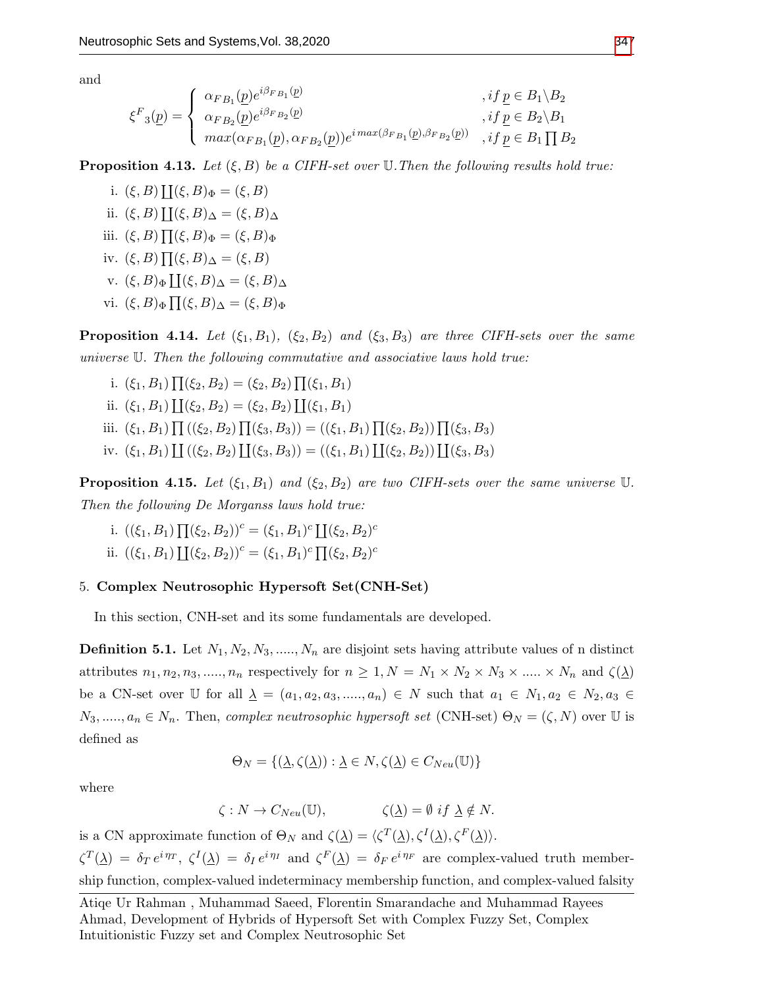and

$$
\xi^{F}_{3}(p) = \begin{cases} \alpha_{FB_{1}}(p)e^{i\beta_{FB_{1}}(p)} & , if p \in B_{1} \setminus B_{2} \\ \alpha_{FB_{2}}(p)e^{i\beta_{FB_{2}}(p)} & , if p \in B_{2} \setminus B_{1} \\ \max(\alpha_{FB_{1}}(p), \alpha_{FB_{2}}(p))e^{i\max(\beta_{FB_{1}}(p), \beta_{FB_{2}}(p))} & , if p \in B_{1} \prod B_{2} \end{cases}
$$

**Proposition 4.13.** Let  $(\xi, B)$  be a CIFH-set over U. Then the following results hold true:

i.  $(\xi, B) \coprod (\xi, B)_{\Phi} = (\xi, B)$ ii.  $(\xi, B) \coprod (\xi, B)_{\Delta} = (\xi, B)_{\Delta}$ iii.  $(\xi, B) \prod (\xi, B)_{\Phi} = (\xi, B)_{\Phi}$ iv.  $(\xi, B) \prod (\xi, B)_{\Delta} = (\xi, B)$ v.  $(\xi, B)_{\Phi} \coprod (\xi, B)_{\Delta} = (\xi, B)_{\Delta}$ vi.  $(\xi, B)_{\Phi} \prod (\xi, B)_{\Delta} = (\xi, B)_{\Phi}$ 

**Proposition 4.14.** Let  $(\xi_1, B_1)$ ,  $(\xi_2, B_2)$  and  $(\xi_3, B_3)$  are three CIFH-sets over the same universe U. Then the following commutative and associative laws hold true:

- i.  $(\xi_1, B_1) \prod (\xi_2, B_2) = (\xi_2, B_2) \prod (\xi_1, B_1)$ ii.  $(\xi_1, B_1) \coprod (\xi_2, B_2) = (\xi_2, B_2) \coprod (\xi_1, B_1)$
- iii.  $(\xi_1, B_1) \prod ((\xi_2, B_2) \prod (\xi_3, B_3)) = ((\xi_1, B_1) \prod (\xi_2, B_2)) \prod (\xi_3, B_3)$
- iv.  $(\xi_1, B_1)$   $\prod ((\xi_2, B_2) \prod (\xi_3, B_3)) = ((\xi_1, B_1) \prod (\xi_2, B_2)) \prod (\xi_3, B_3)$

**Proposition 4.15.** Let  $(\xi_1, B_1)$  and  $(\xi_2, B_2)$  are two CIFH-sets over the same universe U. Then the following De Morganss laws hold true:

i. 
$$
((\xi_1, B_1) \prod (\xi_2, B_2))^c = (\xi_1, B_1)^c \prod (\xi_2, B_2)^c
$$
  
ii.  $((\xi_1, B_1) \prod (\xi_2, B_2))^c = (\xi_1, B_1)^c \prod (\xi_2, B_2)^c$ 

### 5. Complex Neutrosophic Hypersoft Set(CNH-Set)

In this section, CNH-set and its some fundamentals are developed.

**Definition 5.1.** Let  $N_1, N_2, N_3, \ldots, N_n$  are disjoint sets having attribute values of n distinct attributes  $n_1, n_2, n_3, \dots, n_n$  respectively for  $n \geq 1, N = N_1 \times N_2 \times N_3 \times \dots \times N_n$  and  $\zeta(\underline{\lambda})$ be a CN-set over U for all  $\underline{\lambda} = (a_1, a_2, a_3, \dots, a_n) \in N$  such that  $a_1 \in N_1, a_2 \in N_2, a_3 \in$  $N_3, \ldots, a_n \in N_n$ . Then, complex neutrosophic hypersoft set (CNH-set)  $\Theta_N = (\zeta, N)$  over  $\mathbb U$  is defined as

$$
\Theta_N = \{ (\underline{\lambda}, \zeta(\underline{\lambda})) : \underline{\lambda} \in N, \zeta(\underline{\lambda}) \in C_{Neu}(\mathbb{U}) \}
$$

where

$$
\zeta: N \to C_{Neu}(\mathbb{U}), \qquad \qquad \zeta(\underline{\lambda}) = \emptyset \text{ if } \underline{\lambda} \notin N.
$$

is a CN approximate function of  $\Theta_N$  and  $\zeta(\underline{\lambda}) = \langle \zeta^T(\underline{\lambda}), \zeta^I(\underline{\lambda}), \zeta^F(\underline{\lambda}) \rangle$ .  $\zeta^T(\underline{\lambda}) = \delta_T e^{i \eta_T}, \; \zeta^I(\underline{\lambda}) = \delta_I e^{i \eta_I}$  and  $\zeta^F(\underline{\lambda}) = \delta_F e^{i \eta_F}$  are complex-valued truth membership function, complex-valued indeterminacy membership function, and complex-valued falsity

Atiqe Ur Rahman , Muhammad Saeed, Florentin Smarandache and Muhammad Rayees Ahmad, Development of Hybrids of Hypersoft Set with Complex Fuzzy Set, Complex Intuitionistic Fuzzy set and Complex Neutrosophic Set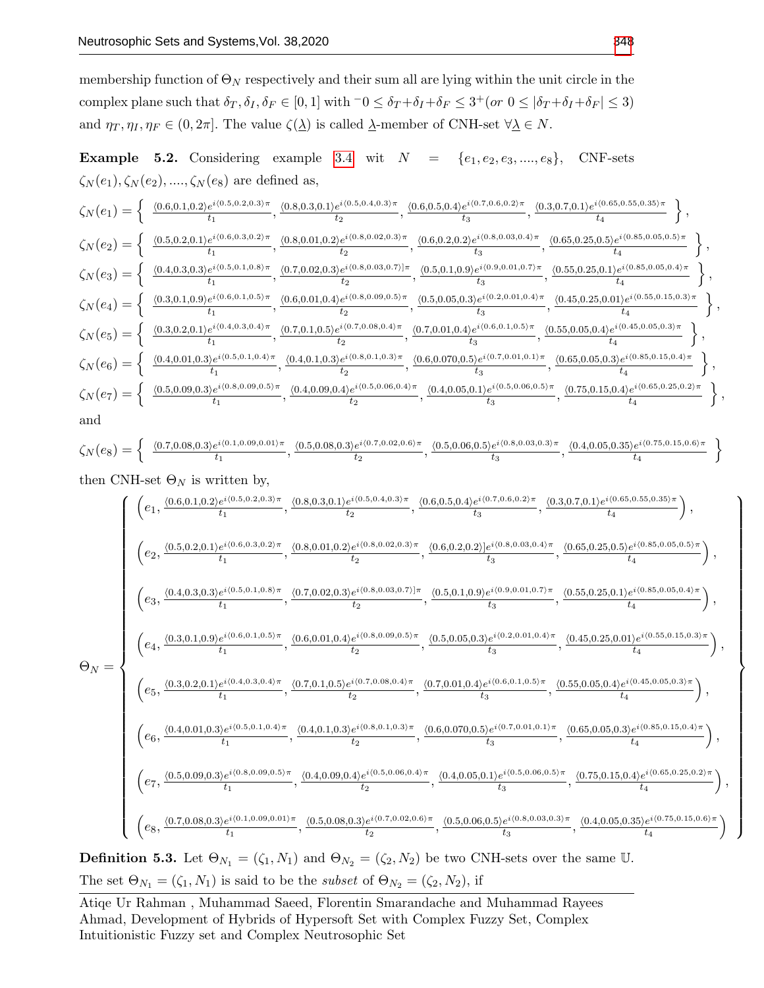membership function of  $\Theta_N$  respectively and their sum all are lying within the unit circle in the complex plane such that  $\delta_T, \delta_I, \delta_F \in [0, 1]$  with  $\delta_0 \leq \delta_T + \delta_I + \delta_F \leq 3^+$  (or  $0 \leq |\delta_T + \delta_I + \delta_F| \leq 3$ ) and  $\eta_T, \eta_I, \eta_F \in (0, 2\pi]$ . The value  $\zeta(\underline{\lambda})$  is called  $\underline{\lambda}$ -member of CNH-set  $\forall \underline{\lambda} \in N$ .

**Example 5.2.** Considering example [3.4](#page-5-0) wit  $N = \{e_1, e_2, e_3, \ldots, e_8\}, \quad \text{CNF-sets}$  $\zeta_N(e_1), \zeta_N(e_2), \ldots, \zeta_N(e_8)$  are defined as,

$$
\zeta_{N}(e_{1}) = \left\{ \begin{array}{c} \frac{\langle 0.6, 0.1, 0.2 \rangle e^{i(0.5, 0.2, 0.3) \pi}}{t_{1}}, \frac{\langle 0.8, 0.3, 0.1 \rangle e^{i(0.5, 0.4, 0.3) \pi}}{t_{2}}, \frac{\langle 0.6, 0.5, 0.4 \rangle e^{i(0.7, 0.6, 0.2) \pi}}{t_{3}}, \frac{\langle 0.3, 0.7, 0.1 \rangle e^{i(0.65, 0.55, 0.35) \pi}}{t_{4}}, \frac{\langle 0.6, 0.2, 0.1 \rangle e^{i(0.65, 0.55, 0.35) \pi}}{t_{4}}, \frac{\langle 0.6, 0.2, 0.1 \rangle e^{i(0.8, 0.03, 0.4) \pi}}{t_{4}}, \frac{\langle 0.6, 0.2, 0.2 \rangle e^{i(0.8, 0.03, 0.4) \pi}}{t_{4}}, \frac{\langle 0.6, 0.2, 0.2 \rangle e^{i(0.8, 0.03, 0.4) \pi}}{t_{4}}, \frac{\langle 0.6, 0.2, 0.2 \rangle e^{i(0.8, 0.03, 0.4) \pi}}{t_{4}}, \frac{\langle 0.6, 0.2, 0.2 \rangle e^{i(0.8, 0.03, 0.4) \pi}}{t_{4}}, \frac{\langle 0.6, 0.2, 0.2 \rangle e^{i(0.8, 0.03, 0.4) \pi}}{t_{4}}, \frac{\langle 0.6, 0.2, 0.2 \rangle e^{i(0.8, 0.03, 0.4) \pi}}{t_{4}}, \frac{\langle 0.6, 0.2, 0.2 \rangle e^{i(0.8, 0.03, 0.4) \pi}}{t_{4}}, \frac{\langle 0.6, 0.2, 0.2 \rangle e^{i(0.8, 0.03, 0.4) \pi}}{t_{4}}, \frac{\langle 0.6, 0.2, 0.2 \rangle e^{i(0.8, 0.03, 0.4) \pi}}{t_{4}}, \frac{\langle 0.4, 0.2, 0.2, 0.1 \rangle e^{i(0.8
$$

$$
\zeta_N(e_8)=\left\{\begin{array}{cc} \frac{\langle 0.7,0.08,0.3\rangle e^{i\langle 0.1,0.09,0.01\rangle \pi}}{t_1},\frac{\langle 0.5,0.08,0.3\rangle e^{i\langle 0.7,0.02,0.6\rangle \pi}}{t_2},\frac{\langle 0.5,0.06,0.5\rangle e^{i\langle 0.8,0.03,0.3\rangle \pi}}{t_3},\frac{\langle 0.4,0.05,0.35\rangle e^{i\langle 0.75,0.15,0.6\rangle \pi}}{t_4} \end{array}\right\}
$$

then CNH-set  $\Theta_N$  is written by,

$$
\Theta_{N}=\left(\begin{matrix} \left(e_1,\frac{\langle 0.6,0.1,0.2\rangle e^{i(0.5,0.2,0.3)\pi}}{t_1},\frac{\langle 0.8,0.3,0.1\rangle e^{i(0.5,0.4,0.3)\pi}}{t_2},\frac{\langle 0.6,0.5,0.4\rangle e^{i(0.7,0.6,0.2)\pi}}{t_3},\frac{\langle 0.3,0.7,0.1\rangle e^{i(0.6,0.5,0.35)\pi}}{t_4}\right),\\ \left(e_2,\frac{\langle 0.5,0.2,0.1\rangle e^{i(0.6,0.3,0.2)\pi}}{t_1},\frac{\langle 0.8,0.01,0.2\rangle e^{i(0.8,0.02,0.3)\pi}}{t_2},\frac{\langle 0.6,0.2,0.2\rangle e^{i(0.8,0.3,0.4)\pi}}{t_3},\frac{\langle 0.6,0.2,0.2\rangle e^{i(0.8,0.3,0.4)\pi}}{t_4},\frac{\langle 0.5,0.25,0.5\rangle e^{i(0.85,0.05,0.5)\pi}}{t_4}\right),\\ \left(e_3,\frac{\langle 0.4,0.3,0.3\rangle e^{i(0.5,0.1,0.8)\pi}}{t_1},\frac{\langle 0.7,0.02,0.3\rangle e^{i(0.8,0.03,0.7)\pi}}{t_2},\frac{\langle 0.5,0.1,0.9\rangle e^{i(0.9,0.01,0.7)\pi}}{t_3},\frac{\langle 0.5,0.25,0.25,0.1\rangle e^{i(0.8,0.05,0.4)\pi}}{t_4}\right),\\ \left(e_5,\frac{\langle 0.3,0.1,0.9\rangle e^{i(0.6,0.1,0.5)\pi}}{t_1},\frac{\langle 0.7,0.02,0.3\rangle e^{i(0.8,0.09,0.5)\pi}}{t_2},\frac{\langle 0.5,0.05,0.3\rangle e^{i(0.9,0.01,0.4)\pi}}{t_3},\frac{\langle 0.45,0.25,0.25,0.1\rangle e^{i(0.45,0.35,0.3)\
$$

**Definition 5.3.** Let  $\Theta_{N_1} = (\zeta_1, N_1)$  and  $\Theta_{N_2} = (\zeta_2, N_2)$  be two CNH-sets over the same U. The set  $\Theta_{N_1} = (\zeta_1, N_1)$  is said to be the *subset* of  $\Theta_{N_2} = (\zeta_2, N_2)$ , if

Atiqe Ur Rahman , Muhammad Saeed, Florentin Smarandache and Muhammad Rayees Ahmad, Development of Hybrids of Hypersoft Set with Complex Fuzzy Set, Complex Intuitionistic Fuzzy set and Complex Neutrosophic Set

 $\mathcal{L}$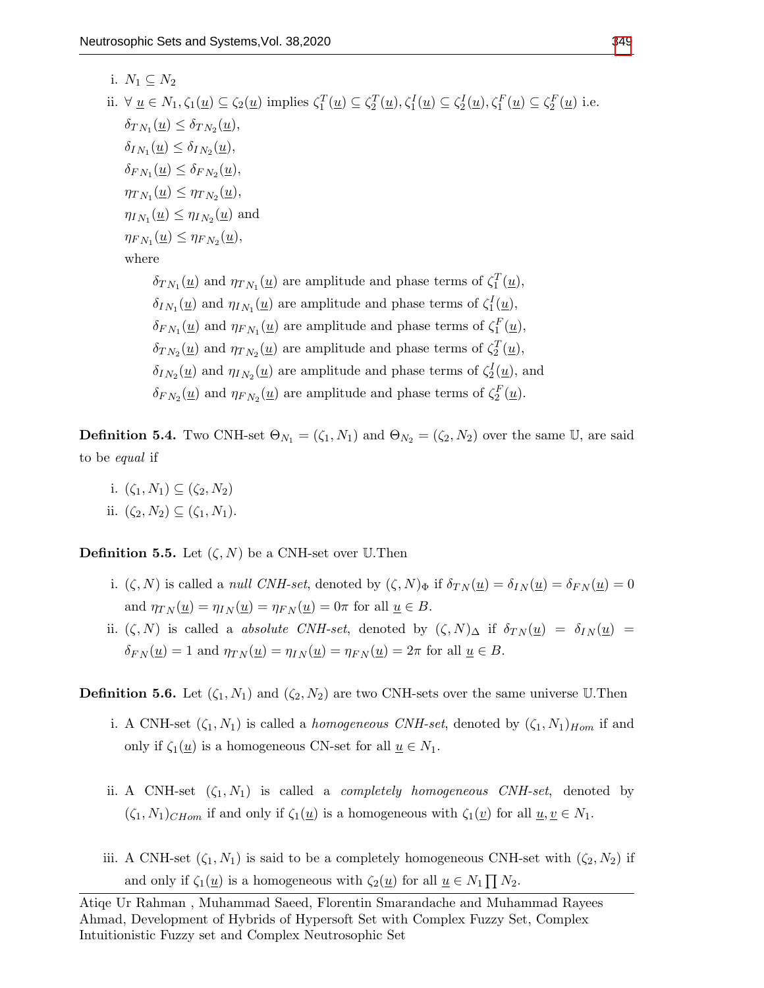i.  $N_1 \subset N_2$ ii.  $\forall \underline{u} \in N_1, \zeta_1(\underline{u}) \subseteq \zeta_2(\underline{u})$  implies  $\zeta_1^T(\underline{u}) \subseteq \zeta_2^T(\underline{u}), \zeta_1^I(\underline{u}) \subseteq \zeta_2^I(\underline{u}), \zeta_1^F(\underline{u}) \subseteq \zeta_2^F(\underline{u})$  i.e.  $\delta_{TN_1}(\underline{u}) \leq \delta_{TN_2}(\underline{u}),$  $\delta_{IN_1}(\underline{u}) \leq \delta_{IN_2}(\underline{u}),$  $\delta_{FN_1}(\underline{u}) \leq \delta_{FN_2}(\underline{u}),$  $\eta_{T N_1}(\underline{u}) \leq \eta_{T N_2}(\underline{u}),$  $\eta_{I_{N_1}}(\underline{u}) \leq \eta_{I_{N_2}}(\underline{u})$  and  $\eta_{F N_1}(\underline{u}) \leq \eta_{F N_2}(\underline{u}),$ where  $\delta_{TN_1}(\underline{u})$  and  $\eta_{TN_1}(\underline{u})$  are amplitude and phase terms of  $\zeta_1^T(\underline{u})$ ,  $\delta_{IN_1}(\underline{u})$  and  $\eta_{IN_1}(\underline{u})$  are amplitude and phase terms of  $\zeta_1^I(\underline{u})$ ,  $\delta_{FN_1}(\underline{u})$  and  $\eta_{FN_1}(\underline{u})$  are amplitude and phase terms of  $\zeta_1^F(\underline{u})$ ,  $\delta_{T N_2}(\underline{u})$  and  $\eta_{T N_2}(\underline{u})$  are amplitude and phase terms of  $\zeta_2^T(\underline{u})$ ,  $\delta_{IN_2}(\underline{u})$  and  $\eta_{IN_2}(\underline{u})$  are amplitude and phase terms of  $\zeta_2^I(\underline{u})$ , and

**Definition 5.4.** Two CNH-set  $\Theta_{N_1} = (\zeta_1, N_1)$  and  $\Theta_{N_2} = (\zeta_2, N_2)$  over the same U, are said

 $\delta_{FN_2}(\underline{u})$  and  $\eta_{FN_2}(\underline{u})$  are amplitude and phase terms of  $\zeta_2^F(\underline{u})$ .

- to be equal if
	- i.  $(\zeta_1, N_1) \subseteq (\zeta_2, N_2)$ ii.  $(\zeta_2, N_2) \subseteq (\zeta_1, N_1)$ .

**Definition 5.5.** Let  $(\zeta, N)$  be a CNH-set over U.Then

- i.  $(\zeta, N)$  is called a *null CNH-set*, denoted by  $(\zeta, N)_{\Phi}$  if  $\delta_{TN}(\underline{u}) = \delta_{IN}(\underline{u}) = \delta_{FN}(\underline{u}) = 0$ and  $\eta_{TN}(\underline{u}) = \eta_{IN}(\underline{u}) = \eta_{FN}(\underline{u}) = 0\pi$  for all  $\underline{u} \in B$ .
- ii.  $(\zeta, N)$  is called a *absolute CNH-set*, denoted by  $(\zeta, N)_{\Delta}$  if  $\delta_{TN}(\underline{u}) = \delta_{IN}(\underline{u})$  $\delta_{FN}(\underline{u}) = 1$  and  $\eta_{TN}(\underline{u}) = \eta_{IN}(\underline{u}) = \eta_{FN}(\underline{u}) = 2\pi$  for all  $\underline{u} \in B$ .

**Definition 5.6.** Let  $(\zeta_1, N_1)$  and  $(\zeta_2, N_2)$  are two CNH-sets over the same universe U.Then

- i. A CNH-set  $(\zeta_1, N_1)$  is called a *homogeneous CNH-set*, denoted by  $(\zeta_1, N_1)_{Hom}$  if and only if  $\zeta_1(\underline{u})$  is a homogeneous CN-set for all  $\underline{u} \in N_1$ .
- ii. A CNH-set  $(\zeta_1, N_1)$  is called a *completely homogeneous CNH-set*, denoted by  $(\zeta_1, N_1)_{CHom}$  if and only if  $\zeta_1(\underline{u})$  is a homogeneous with  $\zeta_1(\underline{v})$  for all  $\underline{u}, \underline{v} \in N_1$ .
- iii. A CNH-set  $(\zeta_1, N_1)$  is said to be a completely homogeneous CNH-set with  $(\zeta_2, N_2)$  if and only if  $\zeta_1(\underline{u})$  is a homogeneous with  $\zeta_2(\underline{u})$  for all  $\underline{u} \in N_1 \prod N_2$ .

Atiqe Ur Rahman , Muhammad Saeed, Florentin Smarandache and Muhammad Rayees Ahmad, Development of Hybrids of Hypersoft Set with Complex Fuzzy Set, Complex Intuitionistic Fuzzy set and Complex Neutrosophic Set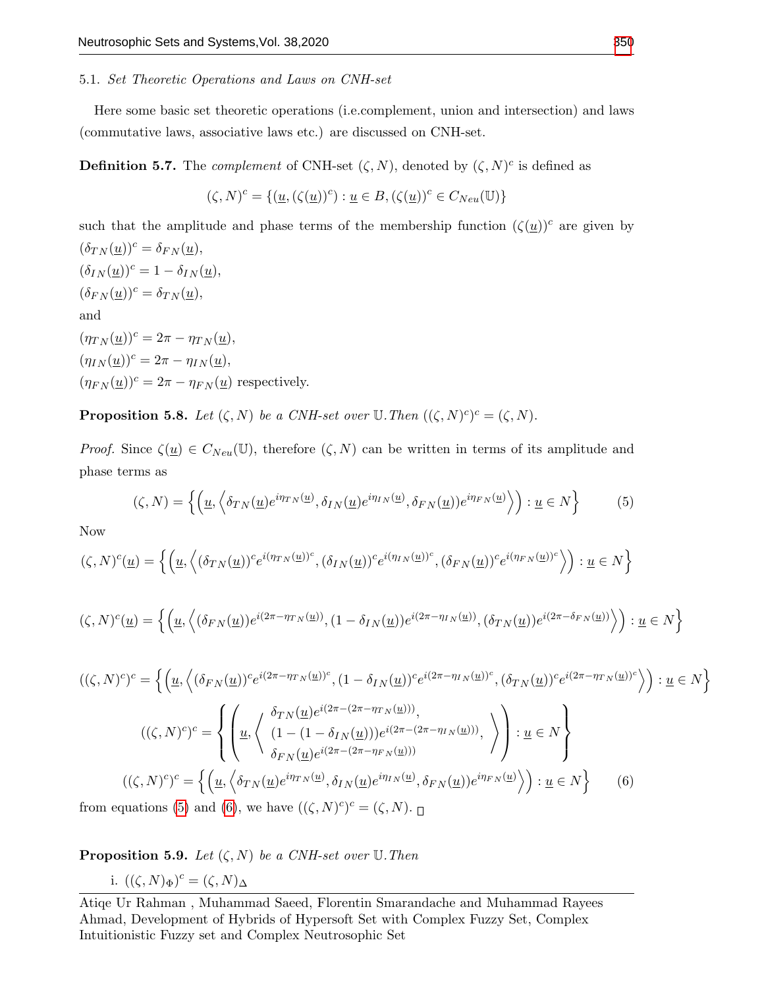### 5.1. Set Theoretic Operations and Laws on CNH-set

Here some basic set theoretic operations (i.e.complement, union and intersection) and laws (commutative laws, associative laws etc.) are discussed on CNH-set.

**Definition 5.7.** The *complement* of CNH-set  $(\zeta, N)$ , denoted by  $(\zeta, N)^c$  is defined as

$$
(\zeta,N)^c=\{(\underline{u},(\zeta(\underline{u}))^c):\underline{u}\in B,(\zeta(\underline{u}))^c\in C_{Neu}(\mathbb{U})\}
$$

such that the amplitude and phase terms of the membership function  $(\zeta(\underline{u}))^c$  are given by  $(\delta_{TN}(\underline{u}))^c = \delta_{FN}(\underline{u}),$  $(\delta_{IN}(\underline{u}))^c = 1 - \delta_{IN}(\underline{u}),$  $(\delta_{FN}(\underline{u}))^c = \delta_{TN}(\underline{u}),$ and  $(\eta_{T_N}(\underline{u}))^c = 2\pi - \eta_{T_N}(\underline{u}),$  $(\eta_{IN}(\underline{u}))^c = 2\pi - \eta_{IN}(\underline{u}),$  $(\eta_{FN}(\underline{u}))^c = 2\pi - \eta_{FN}(\underline{u})$  respectively.

**Proposition 5.8.** Let  $(\zeta, N)$  be a CNH-set over  $\mathbb{U}$ . Then  $((\zeta, N)^c)^c = (\zeta, N)$ .

Proof. Since  $\zeta(\underline{u}) \in C_{Neu}(\mathbb{U})$ , therefore  $(\zeta, N)$  can be written in terms of its amplitude and phase terms as

<span id="page-15-0"></span>
$$
(\zeta, N) = \left\{ \left( \underline{u}, \left\langle \delta_{TN}(\underline{u}) e^{i\eta_{TN}(\underline{u})}, \delta_{IN}(\underline{u}) e^{i\eta_{IN}(\underline{u})}, \delta_{FN}(\underline{u}) \right) e^{i\eta_{FN}(\underline{u})} \right) : \underline{u} \in N \right\}
$$
(5)

Now

$$
(\zeta, N)^c(\underline{u}) = \left\{ \left( \underline{u}, \left\langle (\delta_{TN}(\underline{u}))^c e^{i(\eta_{TN}(\underline{u}))^c}, (\delta_{IN}(\underline{u}))^c e^{i(\eta_{IN}(\underline{u}))^c}, (\delta_{FN}(\underline{u}))^c e^{i(\eta_{FN}(\underline{u}))^c} \right\rangle \right) : \underline{u} \in N \right\}
$$

$$
(\zeta, N)^c(\underline{u}) = \left\{ \left( \underline{u}, \left\langle (\delta_{FN}(\underline{u}))e^{i(2\pi - \eta_{TN}(\underline{u}))}, (1 - \delta_{IN}(\underline{u}))e^{i(2\pi - \eta_{IN}(\underline{u}))}, (\delta_{TN}(\underline{u}))e^{i(2\pi - \delta_{FN}(\underline{u}))} \right\rangle \right) : \underline{u} \in N \right\}
$$

$$
((\zeta, N)^c)^c = \left\{ \left( \underline{u}, \left\langle (\delta_{FN}(\underline{u}))^c e^{i(2\pi - \eta_{TN}(\underline{u}))^c}, (1 - \delta_{IN}(\underline{u}))^c e^{i(2\pi - \eta_{IN}(\underline{u}))^c}, (\delta_{TN}(\underline{u}))^c e^{i(2\pi - \eta_{TN}(\underline{u}))^c} \right\rangle \right) : \underline{u} \in N \right\}
$$
  

$$
((\zeta, N)^c)^c = \left\{ \left( \underline{u}, \left\langle \begin{array}{l} \delta_{TN}(\underline{u}) e^{i(2\pi - (2\pi - \eta_{TN}(\underline{u})))}, \\ (1 - (1 - \delta_{IN}(\underline{u}))) e^{i(2\pi - (2\pi - \eta_{IN}(\underline{u})))}, \\ \delta_{FN}(\underline{u}) e^{i(2\pi - (2\pi - \eta_{FN}(\underline{u})))} \end{array} \right\rangle \right\} : \underline{u} \in N \right\}
$$
  

$$
((\zeta, N)^c)^c = \left\{ \left( \underline{u}, \left\langle \delta_{TN}(\underline{u}) e^{i\eta_{TN}(\underline{u})}, \delta_{IN}(\underline{u}) e^{i\eta_{IN}(\underline{u})}, \delta_{FN}(\underline{u}) e^{i\eta_{FN}(\underline{u})} \right\rangle \right) : \underline{u} \in N \right\}
$$
  
from equations (5) and (6) we have  $((\zeta, N)^c)^c = (\zeta, N)$ 

<span id="page-15-1"></span>from equations [\(5\)](#page-15-0) and [\(6\)](#page-15-1), we have  $((\zeta, N)^c)^c = (\zeta, N)$ .

**Proposition 5.9.** Let  $(\zeta, N)$  be a CNH-set over U. Then

i. 
$$
((\zeta, N)_{\Phi})^c = (\zeta, N)_{\Delta}
$$

Atiqe Ur Rahman , Muhammad Saeed, Florentin Smarandache and Muhammad Rayees Ahmad, Development of Hybrids of Hypersoft Set with Complex Fuzzy Set, Complex Intuitionistic Fuzzy set and Complex Neutrosophic Set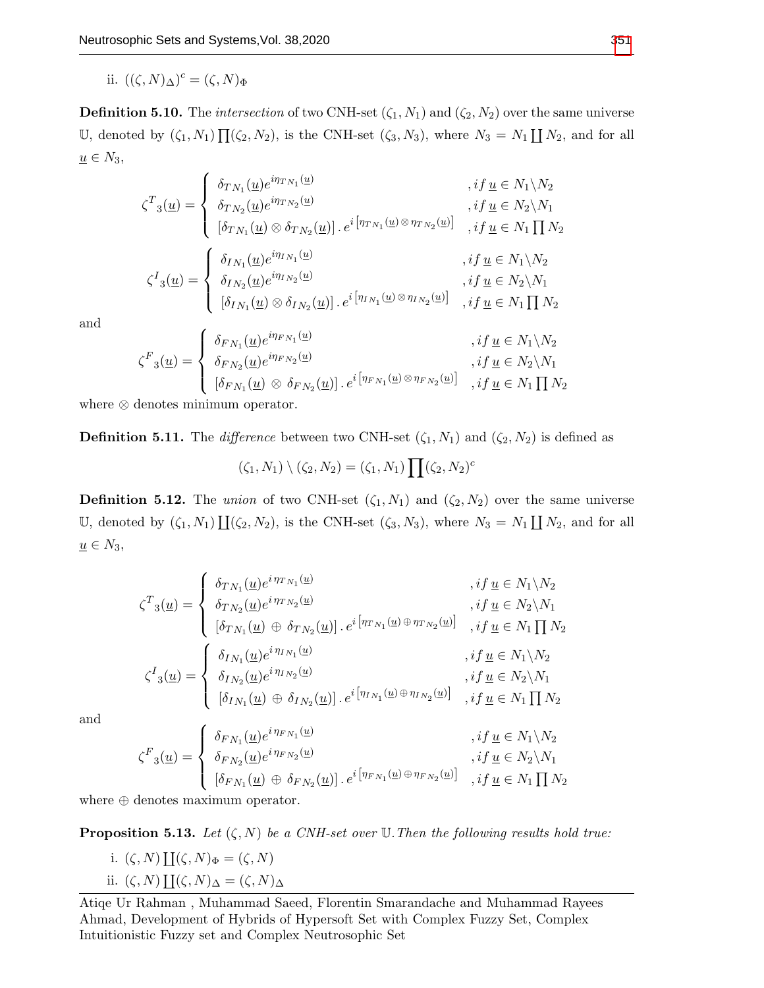ii.  $((\zeta, N)_{\Delta})^c = (\zeta, N)_{\Phi}$ 

**Definition 5.10.** The *intersection* of two CNH-set  $(\zeta_1, N_1)$  and  $(\zeta_2, N_2)$  over the same universe U, denoted by  $(\zeta_1, N_1) \prod_{i \in \zeta_2} (\zeta_2, N_2)$ , is the CNH-set  $(\zeta_3, N_3)$ , where  $N_3 = N_1 \coprod N_2$ , and for all  $\underline{u} \in N_3$ ,

$$
\zeta^{T}_{3}(\underline{u}) = \begin{cases}\n\delta_{TN_{1}}(\underline{u})e^{i\eta_{TN_{1}}(\underline{u})} & , if \underline{u} \in N_{1} \backslash N_{2} \\
\delta_{TN_{2}}(\underline{u})e^{i\eta_{TN_{2}}(\underline{u})} & , if \underline{u} \in N_{2} \backslash N_{1} \\
[\delta_{TN_{1}}(\underline{u}) \otimes \delta_{TN_{2}}(\underline{u})] \cdot e^{i[\eta_{TN_{1}}(\underline{u}) \otimes \eta_{TN_{2}}(\underline{u})]} & , if \underline{u} \in N_{1} \prod N_{2} \\
\delta_{IN_{1}}(\underline{u})e^{i\eta_{IN_{1}}(\underline{u})} & , if \underline{u} \in N_{1} \backslash N_{2} \\
\delta_{IN_{2}}(\underline{u})e^{i\eta_{IN_{2}}(\underline{u})} & , if \underline{u} \in N_{1} \backslash N_{2} \\
[\delta_{IN_{1}}(\underline{u}) \otimes \delta_{IN_{2}}(\underline{u})] \cdot e^{i[\eta_{IN_{1}}(\underline{u}) \otimes \eta_{IN_{2}}(\underline{u})]} & , if \underline{u} \in N_{1} \prod N_{2}\n\end{cases}
$$

and

$$
\zeta^{F}{}_{3}(\underline{u}) = \begin{cases}\n\delta_{FN_{1}}(\underline{u})e^{i\eta_{FN_{1}}(\underline{u})} & , if \underline{u} \in N_{1} \setminus N_{2} \\
\delta_{FN_{2}}(\underline{u})e^{i\eta_{FN_{2}}(\underline{u})} & , if \underline{u} \in N_{2} \setminus N_{1} \\
[\delta_{FN_{1}}(\underline{u}) \otimes \delta_{FN_{2}}(\underline{u})] \cdot e^{i[\eta_{FN_{1}}(\underline{u}) \otimes \eta_{FN_{2}}(\underline{u})]} & , if \underline{u} \in N_{1} \prod N_{2}\n\end{cases}
$$

where ⊗ denotes minimum operator.

**Definition 5.11.** The difference between two CNH-set  $(\zeta_1, N_1)$  and  $(\zeta_2, N_2)$  is defined as

$$
(\zeta_1, N_1) \setminus (\zeta_2, N_2) = (\zeta_1, N_1) \prod (\zeta_2, N_2)^c
$$

**Definition 5.12.** The union of two CNH-set  $(\zeta_1, N_1)$  and  $(\zeta_2, N_2)$  over the same universe U, denoted by  $(\zeta_1, N_1) \coprod (\zeta_2, N_2)$ , is the CNH-set  $(\zeta_3, N_3)$ , where  $N_3 = N_1 \coprod N_2$ , and for all  $\underline{u} \in N_3$ ,

$$
\zeta^{T}_{3}(\underline{u}) = \begin{cases}\n\delta_{TN_{1}}(\underline{u})e^{i\eta_{TN_{1}}(\underline{u})} & , if \underline{u} \in N_{1} \backslash N_{2} \\
\delta_{TN_{2}}(\underline{u})e^{i\eta_{TN_{2}}(\underline{u})} & , if \underline{u} \in N_{2} \backslash N_{1} \\
[\delta_{TN_{1}}(\underline{u}) \oplus \delta_{TN_{2}}(\underline{u})] \cdot e^{i[\eta_{TN_{1}}(\underline{u}) \oplus \eta_{TN_{2}}(\underline{u})]} & , if \underline{u} \in N_{1} \prod N_{2} \\
\delta_{IN_{1}}(\underline{u})e^{i\eta_{IN_{1}}(\underline{u})} & , if \underline{u} \in N_{1} \backslash N_{2} \\
\delta_{IN_{2}}(\underline{u})e^{i\eta_{IN_{2}}(\underline{u})} & , if \underline{u} \in N_{1} \backslash N_{2} \\
[\delta_{IN_{1}}(\underline{u}) \oplus \delta_{IN_{2}}(\underline{u})] \cdot e^{i[\eta_{IN_{1}}(\underline{u}) \oplus \eta_{IN_{2}}(\underline{u})]} & , if \underline{u} \in N_{1} \prod N_{2}\n\end{cases}
$$

and

$$
\zeta^{F}_{3}(\underline{u}) = \begin{cases}\n\delta_{FN_1}(\underline{u})e^{i\eta_{FN_1}(\underline{u})} & , if \underline{u} \in N_1 \backslash N_2 \\
\delta_{FN_2}(\underline{u})e^{i\eta_{FN_2}(\underline{u})} & , if \underline{u} \in N_2 \backslash N_1 \\
[\delta_{FN_1}(\underline{u}) \oplus \delta_{FN_2}(\underline{u})] \cdot e^{i[\eta_{FN_1}(\underline{u}) \oplus \eta_{FN_2}(\underline{u})]} & , if \underline{u} \in N_1 \prod N_2\n\end{cases}
$$

where ⊕ denotes maximum operator.

**Proposition 5.13.** Let  $(\zeta, N)$  be a CNH-set over U. Then the following results hold true:

i.  $(\zeta, N) \coprod (\zeta, N)_{\Phi} = (\zeta, N)$ ii.  $(\zeta, N) \coprod (\zeta, N)_{\Delta} = (\zeta, N)_{\Delta}$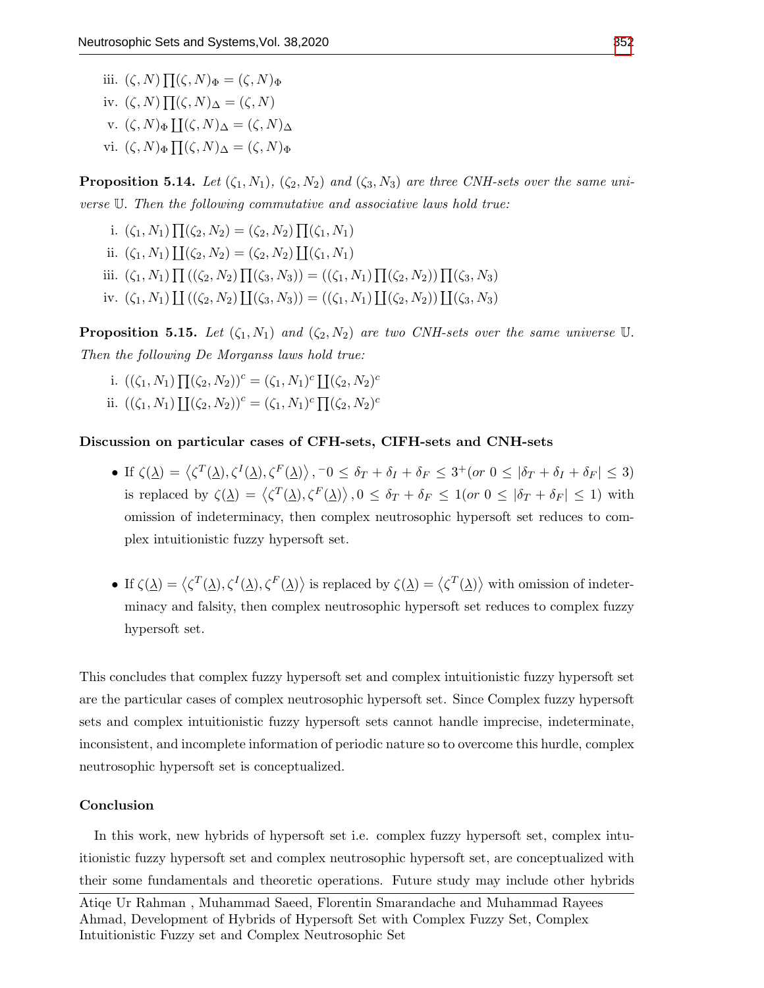iii.  $(\zeta, N) \prod (\zeta, N)_{\Phi} = (\zeta, N)_{\Phi}$ iv.  $(\zeta, N) \prod (\zeta, N)_{\Delta} = (\zeta, N)$ v.  $(\zeta, N)_{\Phi} \coprod (\zeta, N)_{\Delta} = (\zeta, N)_{\Delta}$ vi.  $(\zeta, N)_{\Phi} \prod (\zeta, N)_{\Delta} = (\zeta, N)_{\Phi}$ 

**Proposition 5.14.** Let  $(\zeta_1, N_1)$ ,  $(\zeta_2, N_2)$  and  $(\zeta_3, N_3)$  are three CNH-sets over the same universe U. Then the following commutative and associative laws hold true:

i.  $(\zeta_1, N_1) \prod (\zeta_2, N_2) = (\zeta_2, N_2) \prod (\zeta_1, N_1)$ ii.  $(\zeta_1, N_1) \coprod (\zeta_2, N_2) = (\zeta_2, N_2) \coprod (\zeta_1, N_1)$ iii.  $(\zeta_1, N_1) \prod ((\zeta_2, N_2) \prod (\zeta_3, N_3)) = ((\zeta_1, N_1) \prod (\zeta_2, N_2)) \prod (\zeta_3, N_3)$ iv.  $(\zeta_1, N_1) \coprod ((\zeta_2, N_2) \coprod (\zeta_3, N_3)) = ((\zeta_1, N_1) \coprod (\zeta_2, N_2)) \coprod (\zeta_3, N_3)$ 

**Proposition 5.15.** Let  $(\zeta_1, N_1)$  and  $(\zeta_2, N_2)$  are two CNH-sets over the same universe U. Then the following De Morganss laws hold true:

- i.  $((\zeta_1, N_1) \prod (\zeta_2, N_2))^c = (\zeta_1, N_1)^c \prod (\zeta_2, N_2)^c$
- ii.  $((\zeta_1, N_1) \coprod (\zeta_2, N_2))^c = (\zeta_1, N_1)^c \prod (\zeta_2, N_2)^c$

# Discussion on particular cases of CFH-sets, CIFH-sets and CNH-sets

- If  $\zeta(\underline{\lambda}) = \langle \zeta^T(\underline{\lambda}), \zeta^I(\underline{\lambda}), \zeta^F(\underline{\lambda}) \rangle$ ,  $\bar{\zeta}$  =  $\delta_T + \delta_I + \delta_F \leq 3^+(\sigma r \leq \bar{\delta}_T + \delta_I + \delta_F \leq 3)$ is replaced by  $\zeta(\underline{\lambda}) = \langle \zeta^T(\underline{\lambda}), \zeta^F(\underline{\lambda}) \rangle$ ,  $0 \leq \delta_T + \delta_F \leq 1$  (or  $0 \leq |\delta_T + \delta_F| \leq 1$ ) with omission of indeterminacy, then complex neutrosophic hypersoft set reduces to complex intuitionistic fuzzy hypersoft set.
- If  $\zeta(\underline{\lambda}) = \langle \zeta^T(\underline{\lambda}), \zeta^I(\underline{\lambda}), \zeta^F(\underline{\lambda}) \rangle$  is replaced by  $\zeta(\underline{\lambda}) = \langle \zeta^T(\underline{\lambda}) \rangle$  with omission of indeterminacy and falsity, then complex neutrosophic hypersoft set reduces to complex fuzzy hypersoft set.

This concludes that complex fuzzy hypersoft set and complex intuitionistic fuzzy hypersoft set are the particular cases of complex neutrosophic hypersoft set. Since Complex fuzzy hypersoft sets and complex intuitionistic fuzzy hypersoft sets cannot handle imprecise, indeterminate, inconsistent, and incomplete information of periodic nature so to overcome this hurdle, complex neutrosophic hypersoft set is conceptualized.

# Conclusion

In this work, new hybrids of hypersoft set i.e. complex fuzzy hypersoft set, complex intuitionistic fuzzy hypersoft set and complex neutrosophic hypersoft set, are conceptualized with their some fundamentals and theoretic operations. Future study may include other hybrids

Atiqe Ur Rahman , Muhammad Saeed, Florentin Smarandache and Muhammad Rayees Ahmad, Development of Hybrids of Hypersoft Set with Complex Fuzzy Set, Complex Intuitionistic Fuzzy set and Complex Neutrosophic Set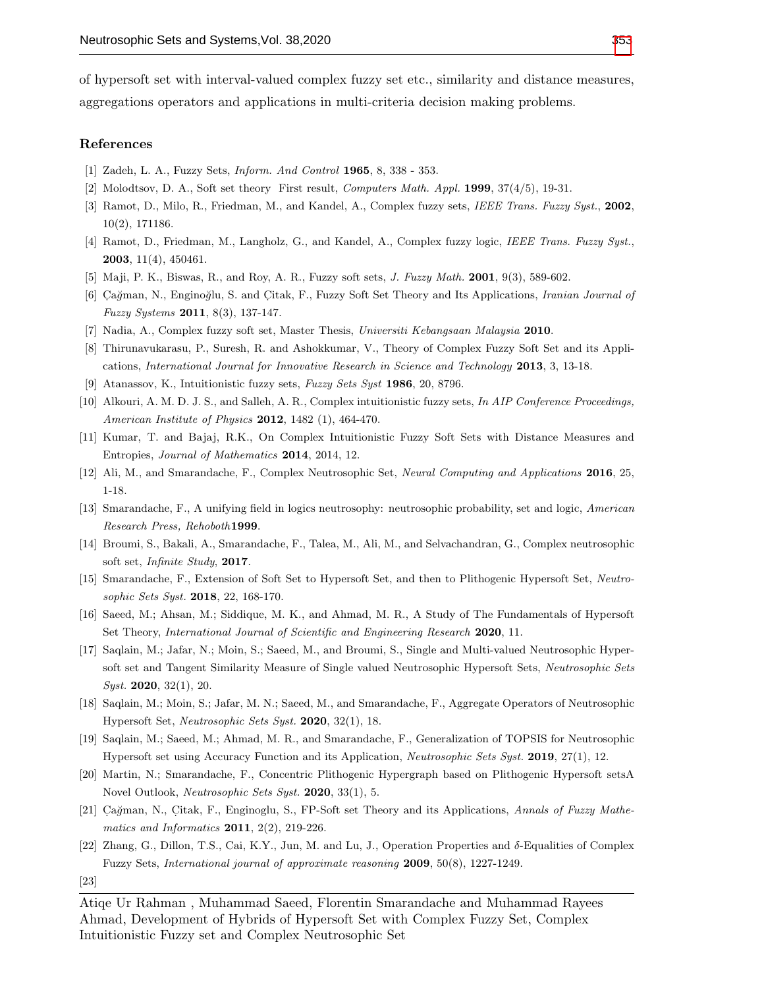of hypersoft set with interval-valued complex fuzzy set etc., similarity and distance measures, aggregations operators and applications in multi-criteria decision making problems.

#### References

- <span id="page-18-0"></span>[1] Zadeh, L. A., Fuzzy Sets, Inform. And Control 1965, 8, 338 - 353.
- <span id="page-18-1"></span>[2] Molodtsov, D. A., Soft set theory First result, Computers Math. Appl. 1999, 37(4/5), 19-31.
- <span id="page-18-2"></span>[3] Ramot, D., Milo, R., Friedman, M., and Kandel, A., Complex fuzzy sets, IEEE Trans. Fuzzy Syst., 2002, 10(2), 171186.
- <span id="page-18-3"></span>[4] Ramot, D., Friedman, M., Langholz, G., and Kandel, A., Complex fuzzy logic, IEEE Trans. Fuzzy Syst., 2003, 11(4), 450461.
- <span id="page-18-4"></span>[5] Maji, P. K., Biswas, R., and Roy, A. R., Fuzzy soft sets, *J. Fuzzy Math.* **2001**, 9(3), 589-602.
- <span id="page-18-5"></span>[6] Cağman, N., Enginoğlu, S. and Citak, F., Fuzzy Soft Set Theory and Its Applications, Iranian Journal of Fuzzy Systems 2011, 8(3), 137-147.
- <span id="page-18-6"></span>[7] Nadia, A., Complex fuzzy soft set, Master Thesis, Universiti Kebangsaan Malaysia 2010.
- <span id="page-18-7"></span>[8] Thirunavukarasu, P., Suresh, R. and Ashokkumar, V., Theory of Complex Fuzzy Soft Set and its Applications, International Journal for Innovative Research in Science and Technology 2013, 3, 13-18.
- <span id="page-18-8"></span>[9] Atanassov, K., Intuitionistic fuzzy sets, Fuzzy Sets Syst 1986, 20, 8796.
- <span id="page-18-9"></span>[10] Alkouri, A. M. D. J. S., and Salleh, A. R., Complex intuitionistic fuzzy sets, In AIP Conference Proceedings, American Institute of Physics 2012, 1482 (1), 464-470.
- <span id="page-18-10"></span>[11] Kumar, T. and Bajaj, R.K., On Complex Intuitionistic Fuzzy Soft Sets with Distance Measures and Entropies, Journal of Mathematics 2014, 2014, 12.
- <span id="page-18-11"></span>[12] Ali, M., and Smarandache, F., Complex Neutrosophic Set, Neural Computing and Applications 2016, 25, 1-18.
- <span id="page-18-12"></span>[13] Smarandache, F., A unifying field in logics neutrosophy: neutrosophic probability, set and logic, American Research Press, Rehoboth1999.
- <span id="page-18-13"></span>[14] Broumi, S., Bakali, A., Smarandache, F., Talea, M., Ali, M., and Selvachandran, G., Complex neutrosophic soft set, Infinite Study, 2017.
- <span id="page-18-14"></span>[15] Smarandache, F., Extension of Soft Set to Hypersoft Set, and then to Plithogenic Hypersoft Set, Neutrosophic Sets Syst. 2018, 22, 168-170.
- <span id="page-18-15"></span>[16] Saeed, M.; Ahsan, M.; Siddique, M. K., and Ahmad, M. R., A Study of The Fundamentals of Hypersoft Set Theory, International Journal of Scientific and Engineering Research 2020, 11.
- [17] Saqlain, M.; Jafar, N.; Moin, S.; Saeed, M., and Broumi, S., Single and Multi-valued Neutrosophic Hypersoft set and Tangent Similarity Measure of Single valued Neutrosophic Hypersoft Sets, Neutrosophic Sets Syst. 2020, 32(1), 20.
- [18] Saqlain, M.; Moin, S.; Jafar, M. N.; Saeed, M., and Smarandache, F., Aggregate Operators of Neutrosophic Hypersoft Set, Neutrosophic Sets Syst. 2020, 32(1), 18.
- [19] Saqlain, M.; Saeed, M.; Ahmad, M. R., and Smarandache, F., Generalization of TOPSIS for Neutrosophic Hypersoft set using Accuracy Function and its Application, Neutrosophic Sets Syst. 2019, 27(1), 12.
- <span id="page-18-19"></span>[20] Martin, N.; Smarandache, F., Concentric Plithogenic Hypergraph based on Plithogenic Hypersoft setsA Novel Outlook, Neutrosophic Sets Syst. 2020, 33(1), 5.
- <span id="page-18-16"></span>[21] Cağman, N., Citak, F., Enginoglu, S., FP-Soft set Theory and its Applications, Annals of Fuzzy Mathematics and Informatics **2011**, 2(2), 219-226.
- <span id="page-18-17"></span>[22] Zhang, G., Dillon, T.S., Cai, K.Y., Jun, M. and Lu, J., Operation Properties and  $\delta$ -Equalities of Complex Fuzzy Sets, International journal of approximate reasoning 2009, 50(8), 1227-1249.

<span id="page-18-18"></span><sup>[23]</sup>